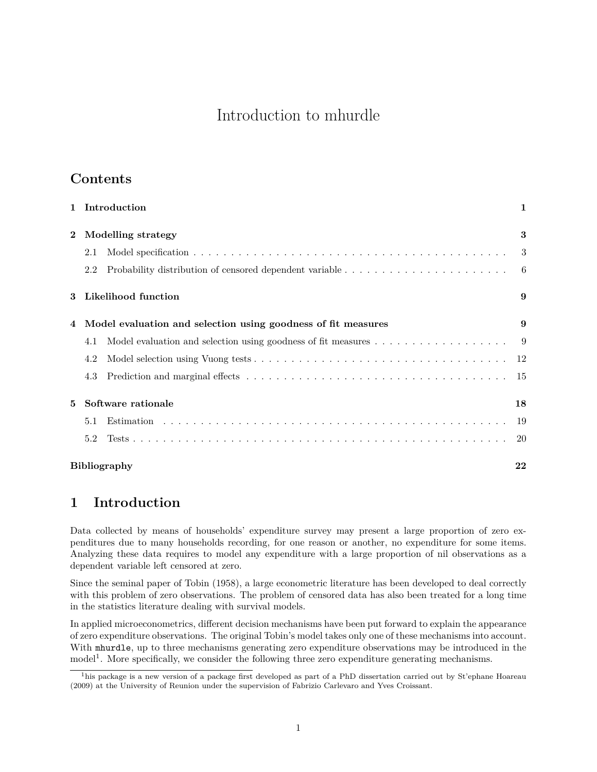# Introduction to mhurdle

# **Contents**

| $\mathbf{1}$ | Introduction                                                  |                     |     |  |  |  |  |
|--------------|---------------------------------------------------------------|---------------------|-----|--|--|--|--|
| $\mathbf{2}$ | Modelling strategy                                            |                     |     |  |  |  |  |
|              | 2.1                                                           |                     | 3   |  |  |  |  |
|              | 2.2                                                           |                     | - 6 |  |  |  |  |
| 3            | Likelihood function                                           |                     |     |  |  |  |  |
| 4            | Model evaluation and selection using goodness of fit measures | 9                   |     |  |  |  |  |
|              | 4.1                                                           |                     |     |  |  |  |  |
|              | 4.2                                                           |                     | 12  |  |  |  |  |
|              | 4.3                                                           |                     | 15  |  |  |  |  |
| 5            |                                                               | Software rationale  | 18  |  |  |  |  |
|              | 5.1                                                           |                     | 19  |  |  |  |  |
|              | 5.2                                                           |                     | 20  |  |  |  |  |
|              |                                                               | <b>Bibliography</b> | 22  |  |  |  |  |

# <span id="page-0-0"></span>**1 Introduction**

Data collected by means of households' expenditure survey may present a large proportion of zero expenditures due to many households recording, for one reason or another, no expenditure for some items. Analyzing these data requires to model any expenditure with a large proportion of nil observations as a dependent variable left censored at zero.

Since the seminal paper of Tobin (1958), a large econometric literature has been developed to deal correctly with this problem of zero observations. The problem of censored data has also been treated for a long time in the statistics literature dealing with survival models.

In applied microeconometrics, different decision mechanisms have been put forward to explain the appearance of zero expenditure observations. The original Tobin's model takes only one of these mechanisms into account. With mhurdle, up to three mechanisms generating zero expenditure observations may be introduced in the model<sup>[1](#page-0-1)</sup>. More specifically, we consider the following three zero expenditure generating mechanisms.

<span id="page-0-1"></span><sup>&</sup>lt;sup>1</sup>his package is a new version of a package first developed as part of a PhD dissertation carried out by St'ephane Hoareau (2009) at the University of Reunion under the supervision of Fabrizio Carlevaro and Yves Croissant.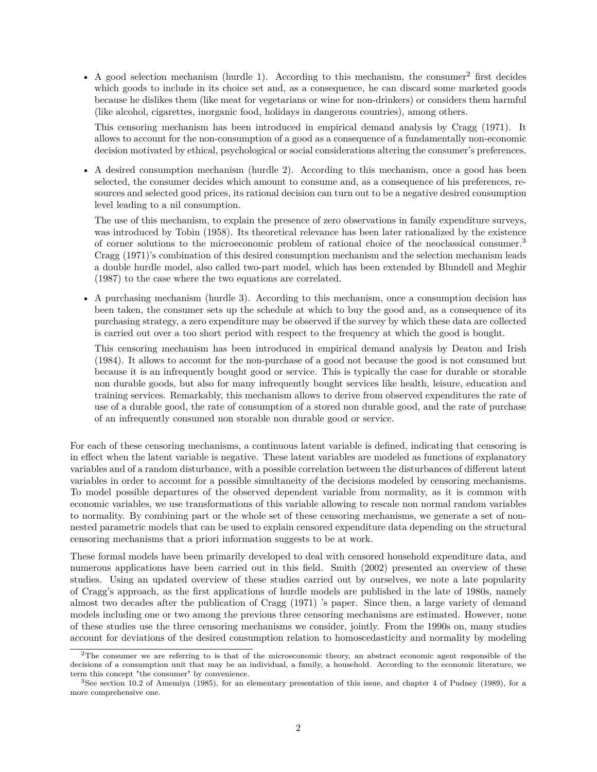• A good selection mechanism (hurdle 1). According to this mechanism, the consumer<sup>[2](#page-1-0)</sup> first decides which goods to include in its choice set and, as a consequence, he can discard some marketed goods because he dislikes them (like meat for vegetarians or wine for non-drinkers) or considers them harmful (like alcohol, cigarettes, inorganic food, holidays in dangerous countries), among others.

This censoring mechanism has been introduced in empirical demand analysis by Cragg (1971). It allows to account for the non-consumption of a good as a consequence of a fundamentally non-economic decision motivated by ethical, psychological or social considerations altering the consumer's preferences.

• A desired consumption mechanism (hurdle 2). According to this mechanism, once a good has been selected, the consumer decides which amount to consume and, as a consequence of his preferences, resources and selected good prices, its rational decision can turn out to be a negative desired consumption level leading to a nil consumption.

The use of this mechanism, to explain the presence of zero observations in family expenditure surveys, was introduced by Tobin (1958). Its theoretical relevance has been later rationalized by the existence of corner solutions to the microeconomic problem of rational choice of the neoclassical consumer.[3](#page-1-1) Cragg (1971)'s combination of this desired consumption mechanism and the selection mechanism leads a double hurdle model, also called two-part model, which has been extended by Blundell and Meghir (1987) to the case where the two equations are correlated.

• A purchasing mechanism (hurdle 3). According to this mechanism, once a consumption decision has been taken, the consumer sets up the schedule at which to buy the good and, as a consequence of its purchasing strategy, a zero expenditure may be observed if the survey by which these data are collected is carried out over a too short period with respect to the frequency at which the good is bought.

This censoring mechanism has been introduced in empirical demand analysis by Deaton and Irish (1984). It allows to account for the non-purchase of a good not because the good is not consumed but because it is an infrequently bought good or service. This is typically the case for durable or storable non durable goods, but also for many infrequently bought services like health, leisure, education and training services. Remarkably, this mechanism allows to derive from observed expenditures the rate of use of a durable good, the rate of consumption of a stored non durable good, and the rate of purchase of an infrequently consumed non storable non durable good or service.

For each of these censoring mechanisms, a continuous latent variable is defined, indicating that censoring is in effect when the latent variable is negative. These latent variables are modeled as functions of explanatory variables and of a random disturbance, with a possible correlation between the disturbances of different latent variables in order to account for a possible simultaneity of the decisions modeled by censoring mechanisms. To model possible departures of the observed dependent variable from normality, as it is common with economic variables, we use transformations of this variable allowing to rescale non normal random variables to normality. By combining part or the whole set of these censoring mechanisms, we generate a set of nonnested parametric models that can be used to explain censored expenditure data depending on the structural censoring mechanisms that a priori information suggests to be at work.

These formal models have been primarily developed to deal with censored household expenditure data, and numerous applications have been carried out in this field. Smith (2002) presented an overview of these studies. Using an updated overview of these studies carried out by ourselves, we note a late popularity of Cragg's approach, as the first applications of hurdle models are published in the late of 1980s, namely almost two decades after the publication of Cragg (1971) 's paper. Since then, a large variety of demand models including one or two among the previous three censoring mechanisms are estimated. However, none of these studies use the three censoring mechanisms we consider, jointly. From the 1990s on, many studies account for deviations of the desired consumption relation to homoscedasticity and normality by modeling

<span id="page-1-0"></span> $2$ The consumer we are referring to is that of the microeconomic theory, an abstract economic agent responsible of the decisions of a consumption unit that may be an individual, a family, a household. According to the economic literature, we term this concept "the consumer" by convenience.

<span id="page-1-1"></span> ${}^{3}$ See section 10.2 of Amemiya (1985), for an elementary presentation of this issue, and chapter 4 of Pudney (1989), for a more comprehensive one.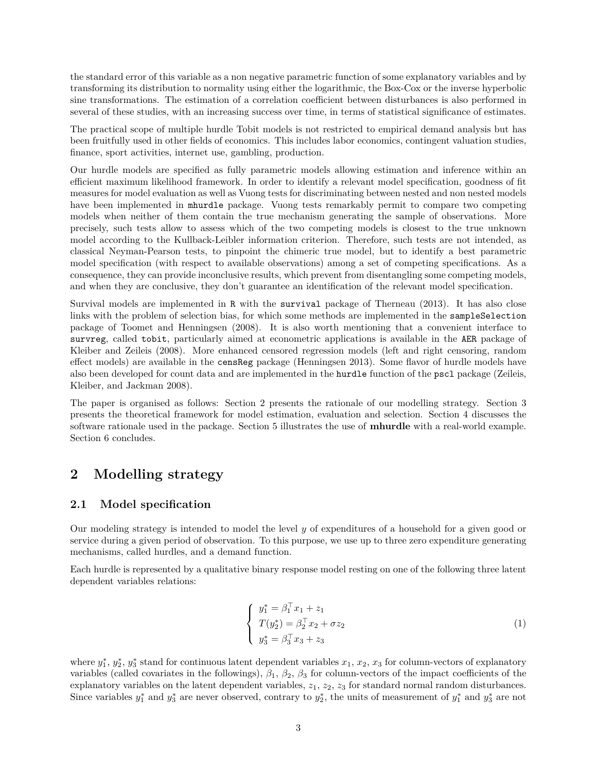the standard error of this variable as a non negative parametric function of some explanatory variables and by transforming its distribution to normality using either the logarithmic, the Box-Cox or the inverse hyperbolic sine transformations. The estimation of a correlation coefficient between disturbances is also performed in several of these studies, with an increasing success over time, in terms of statistical significance of estimates.

The practical scope of multiple hurdle Tobit models is not restricted to empirical demand analysis but has been fruitfully used in other fields of economics. This includes labor economics, contingent valuation studies, finance, sport activities, internet use, gambling, production.

Our hurdle models are specified as fully parametric models allowing estimation and inference within an efficient maximum likelihood framework. In order to identify a relevant model specification, goodness of fit measures for model evaluation as well as Vuong tests for discriminating between nested and non nested models have been implemented in mhurdle package. Vuong tests remarkably permit to compare two competing models when neither of them contain the true mechanism generating the sample of observations. More precisely, such tests allow to assess which of the two competing models is closest to the true unknown model according to the Kullback-Leibler information criterion. Therefore, such tests are not intended, as classical Neyman-Pearson tests, to pinpoint the chimeric true model, but to identify a best parametric model specification (with respect to available observations) among a set of competing specifications. As a consequence, they can provide inconclusive results, which prevent from disentangling some competing models, and when they are conclusive, they don't guarantee an identification of the relevant model specification.

Survival models are implemented in R with the survival package of Therneau (2013). It has also close links with the problem of selection bias, for which some methods are implemented in the sampleSelection package of Toomet and Henningsen (2008). It is also worth mentioning that a convenient interface to survreg, called tobit, particularly aimed at econometric applications is available in the AER package of Kleiber and Zeileis (2008). More enhanced censored regression models (left and right censoring, random effect models) are available in the censReg package (Henningsen 2013). Some flavor of hurdle models have also been developed for count data and are implemented in the hurdle function of the pscl package (Zeileis, Kleiber, and Jackman 2008).

The paper is organised as follows: Section 2 presents the rationale of our modelling strategy. Section 3 presents the theoretical framework for model estimation, evaluation and selection. Section 4 discusses the software rationale used in the package. Section 5 illustrates the use of **mhurdle** with a real-world example. Section 6 concludes.

### <span id="page-2-0"></span>**2 Modelling strategy**

#### <span id="page-2-1"></span>**2.1 Model specification**

Our modeling strategy is intended to model the level *y* of expenditures of a household for a given good or service during a given period of observation. To this purpose, we use up to three zero expenditure generating mechanisms, called hurdles, and a demand function.

Each hurdle is represented by a qualitative binary response model resting on one of the following three latent dependent variables relations:

<span id="page-2-2"></span>
$$
\begin{cases}\n y_1^* = \beta_1^\top x_1 + z_1 \\
 T(y_2^*) = \beta_2^\top x_2 + \sigma z_2 \\
 y_3^* = \beta_3^\top x_3 + z_3\n\end{cases} \tag{1}
$$

where  $y_1^*, y_2^*, y_3^*$  stand for continuous latent dependent variables  $x_1, x_2, x_3$  for column-vectors of explanatory variables (called covariates in the followings), *β*1, *β*2, *β*<sup>3</sup> for column-vectors of the impact coefficients of the explanatory variables on the latent dependent variables,  $z_1$ ,  $z_2$ ,  $z_3$  for standard normal random disturbances. Since variables  $y_1^*$  and  $y_3^*$  are never observed, contrary to  $y_2^*$ , the units of measurement of  $y_1^*$  and  $y_3^*$  are not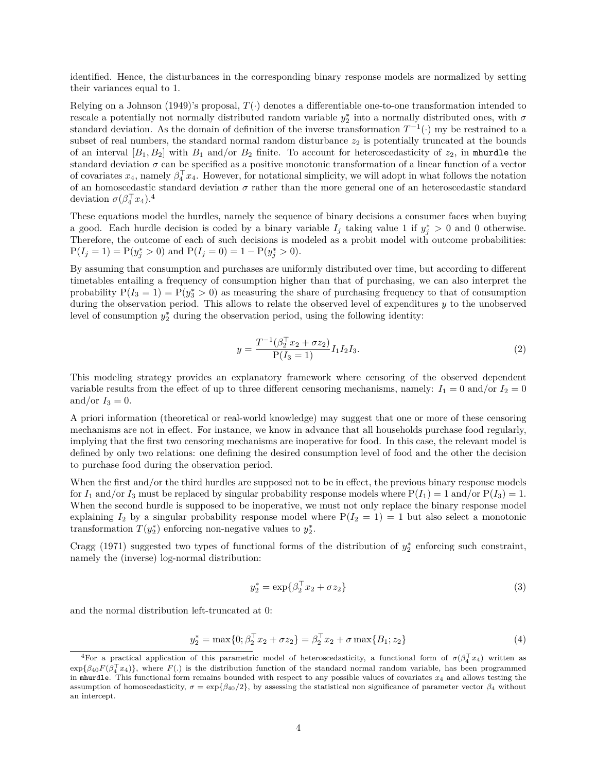identified. Hence, the disturbances in the corresponding binary response models are normalized by setting their variances equal to 1.

Relying on a Johnson (1949)'s proposal,  $T(\cdot)$  denotes a differentiable one-to-one transformation intended to rescale a potentially not normally distributed random variable  $y_2^*$  into a normally distributed ones, with  $\sigma$ standard deviation. As the domain of definition of the inverse transformation  $T^{-1}(\cdot)$  my be restrained to a subset of real numbers, the standard normal random disturbance  $z<sub>2</sub>$  is potentially truncated at the bounds of an interval  $[B_1, B_2]$  with  $B_1$  and/or  $B_2$  finite. To account for heteroscedasticity of  $z_2$ , in mhurdle the standard deviation  $\sigma$  can be specified as a positive monotonic transformation of a linear function of a vector of covariates  $x_4$ , namely  $\beta_4^{\top} x_4$ . However, for notational simplicity, we will adopt in what follows the notation of an homoscedastic standard deviation  $\sigma$  rather than the more general one of an heteroscedastic standard deviation  $\sigma(\beta_4^{\top} x_4)$  $\sigma(\beta_4^{\top} x_4)$  $\sigma(\beta_4^{\top} x_4)$ .<sup>4</sup>

These equations model the hurdles, namely the sequence of binary decisions a consumer faces when buying a good. Each hurdle decision is coded by a binary variable  $I_j$  taking value 1 if  $y_j^* > 0$  and 0 otherwise. Therefore, the outcome of each of such decisions is modeled as a probit model with outcome probabilities:  $P(I_j = 1) = P(y_j^* > 0)$  and  $P(I_j = 0) = 1 - P(y_j^* > 0)$ .

By assuming that consumption and purchases are uniformly distributed over time, but according to different timetables entailing a frequency of consumption higher than that of purchasing, we can also interpret the probability  $P(I_3 = 1) = P(y_3^* > 0)$  as measuring the share of purchasing frequency to that of consumption during the observation period. This allows to relate the observed level of expenditures *y* to the unobserved level of consumption  $y_2^*$  during the observation period, using the following identity:

<span id="page-3-3"></span>
$$
y = \frac{T^{-1}(\beta_2^{\top} x_2 + \sigma z_2)}{P(I_3 = 1)} I_1 I_2 I_3.
$$
\n(2)

This modeling strategy provides an explanatory framework where censoring of the observed dependent variable results from the effect of up to three different censoring mechanisms, namely:  $I_1 = 0$  and/or  $I_2 = 0$ and/or  $I_3 = 0$ .

A priori information (theoretical or real-world knowledge) may suggest that one or more of these censoring mechanisms are not in effect. For instance, we know in advance that all households purchase food regularly, implying that the first two censoring mechanisms are inoperative for food. In this case, the relevant model is defined by only two relations: one defining the desired consumption level of food and the other the decision to purchase food during the observation period.

When the first and/or the third hurdles are supposed not to be in effect, the previous binary response models for  $I_1$  and/or  $I_3$  must be replaced by singular probability response models where  $P(I_1) = 1$  and/or  $P(I_3) = 1$ . When the second hurdle is supposed to be inoperative, we must not only replace the binary response model explaining  $I_2$  by a singular probability response model where  $P(I_2 = 1) = 1$  but also select a monotonic transformation  $T(y_2^*)$  enforcing non-negative values to  $y_2^*$ .

Cragg (1971) suggested two types of functional forms of the distribution of  $y_2^*$  enforcing such constraint, namely the (inverse) log-normal distribution:

<span id="page-3-2"></span>
$$
y_2^* = \exp\{\beta_2^{\top} x_2 + \sigma z_2\} \tag{3}
$$

and the normal distribution left-truncated at 0:

<span id="page-3-1"></span>
$$
y_2^* = \max\{0; \beta_2^{\top} x_2 + \sigma z_2\} = \beta_2^{\top} x_2 + \sigma \max\{B_1; z_2\} \tag{4}
$$

<span id="page-3-0"></span><sup>&</sup>lt;sup>4</sup>For a practical application of this parametric model of heteroscedasticity, a functional form of  $\sigma(\beta_4^{\top} x_4)$  written as  $\exp{\{\beta_{40}F(\beta_{4}^{T}x_4)\}}$ , where  $F(.)$  is the distribution function of the standard normal random variable, has been programmed in mhurdle. This functional form remains bounded with respect to any possible values of covariates  $x_4$  and allows testing the assumption of homoscedasticity,  $\sigma = \exp{\beta_0/2}$ , by assessing the statistical non significance of parameter vector  $\beta_4$  without an intercept.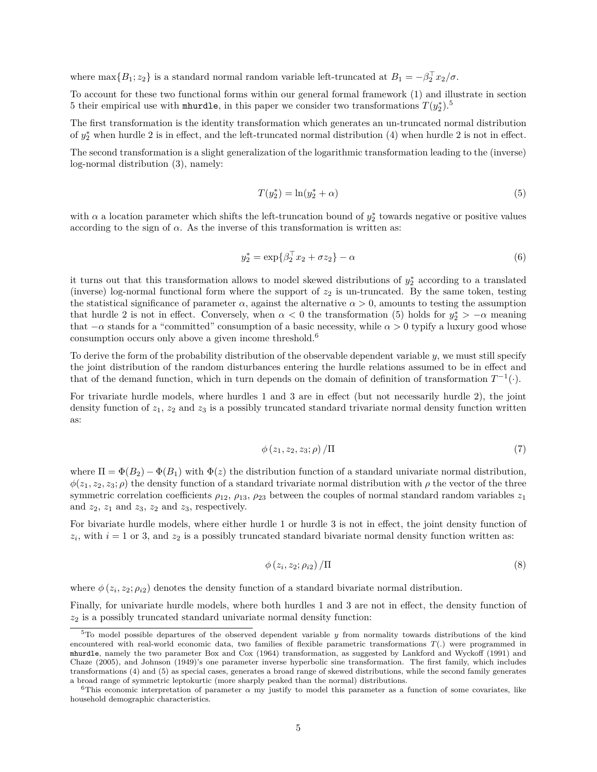where  $\max\{B_1; z_2\}$  is a standard normal random variable left-truncated at  $B_1 = -\beta_2^{\top} x_2/\sigma$ .

To account for these two functional forms within our general formal framework [\(1\)](#page-2-2) and illustrate in section [5](#page-4-0) their empirical use with mhurdle, in this paper we consider two transformations  $T(y_2^*)$ .<sup>5</sup>

The first transformation is the identity transformation which generates an un-truncated normal distribution of  $y_2^*$  when hurdle 2 is in effect, and the left-truncated normal distribution [\(4\)](#page-3-1) when hurdle 2 is not in effect.

The second transformation is a slight generalization of the logarithmic transformation leading to the (inverse) log-normal distribution [\(3\)](#page-3-2), namely:

<span id="page-4-1"></span>
$$
T(y_2^*) = \ln(y_2^* + \alpha) \tag{5}
$$

with  $\alpha$  a location parameter which shifts the left-truncation bound of  $y_2^*$  towards negative or positive values according to the sign of  $\alpha$ . As the inverse of this transformation is written as:

<span id="page-4-4"></span>
$$
y_2^* = \exp\{\beta_2^{\top} x_2 + \sigma z_2\} - \alpha \tag{6}
$$

it turns out that this transformation allows to model skewed distributions of  $y_2^*$  according to a translated (inverse) log-normal functional form where the support of  $z_2$  is un-truncated. By the same token, testing the statistical significance of parameter  $\alpha$ , against the alternative  $\alpha > 0$ , amounts to testing the assumption that hurdle 2 is not in effect. Conversely, when  $\alpha < 0$  the transformation [\(5\)](#page-4-1) holds for  $y_2^* > -\alpha$  meaning that  $-\alpha$  stands for a "committed" consumption of a basic necessity, while  $\alpha > 0$  typify a luxury good whose consumption occurs only above a given income threshold.[6](#page-4-2)

To derive the form of the probability distribution of the observable dependent variable *y*, we must still specify the joint distribution of the random disturbances entering the hurdle relations assumed to be in effect and that of the demand function, which in turn depends on the domain of definition of transformation  $T^{-1}(\cdot)$ .

For trivariate hurdle models, where hurdles 1 and 3 are in effect (but not necessarily hurdle 2), the joint density function of  $z_1$ ,  $z_2$  and  $z_3$  is a possibly truncated standard trivariate normal density function written as:

<span id="page-4-3"></span>
$$
\phi(z_1, z_2, z_3; \rho) / \Pi \tag{7}
$$

where  $\Pi = \Phi(B_2) - \Phi(B_1)$  with  $\Phi(z)$  the distribution function of a standard univariate normal distribution,  $\phi(z_1, z_2, z_3; \rho)$  the density function of a standard trivariate normal distribution with  $\rho$  the vector of the three symmetric correlation coefficients  $\rho_{12}$ ,  $\rho_{13}$ ,  $\rho_{23}$  between the couples of normal standard random variables  $z_1$ and  $z_2$ ,  $z_1$  and  $z_3$ ,  $z_2$  and  $z_3$ , respectively.

For bivariate hurdle models, where either hurdle 1 or hurdle 3 is not in effect, the joint density function of  $z_i$ , with  $i = 1$  or 3, and  $z_2$  is a possibly truncated standard bivariate normal density function written as:

$$
\phi(z_i, z_2; \rho_{i2}) / \Pi \tag{8}
$$

where  $\phi(z_i, z_2; \rho_{i2})$  denotes the density function of a standard bivariate normal distribution.

Finally, for univariate hurdle models, where both hurdles 1 and 3 are not in effect, the density function of *z*<sup>2</sup> is a possibly truncated standard univariate normal density function:

<span id="page-4-0"></span><sup>5</sup>To model possible departures of the observed dependent variable *y* from normality towards distributions of the kind encountered with real-world economic data, two families of flexible parametric transformations *T*(*.*) were programmed in mhurdle, namely the two parameter Box and Cox (1964) transformation, as suggested by Lankford and Wyckoff (1991) and Chaze (2005), and Johnson (1949)'s one parameter inverse hyperbolic sine transformation. The first family, which includes transformations [\(4\)](#page-3-1) and [\(5\)](#page-4-1) as special cases, generates a broad range of skewed distributions, while the second family generates a broad range of symmetric leptokurtic (more sharply peaked than the normal) distributions.

<span id="page-4-2"></span><sup>6</sup>This economic interpretation of parameter *α* my justify to model this parameter as a function of some covariates, like household demographic characteristics.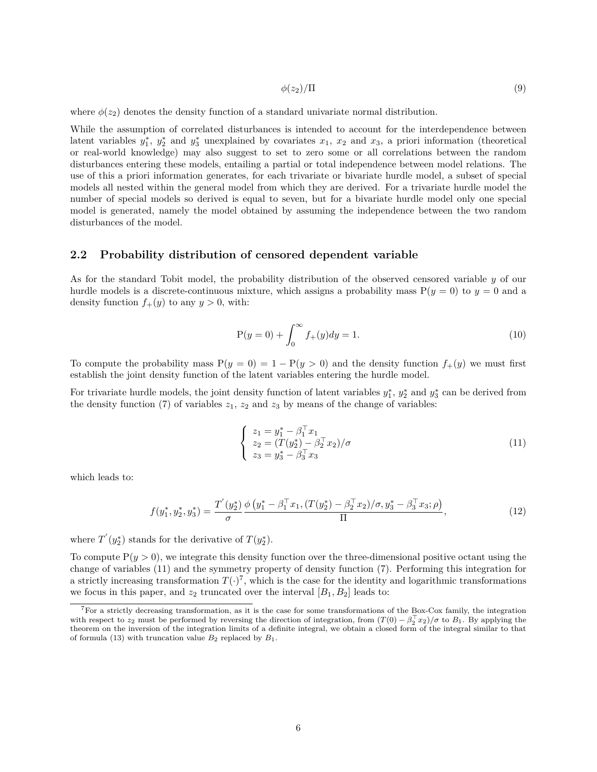$$
\phi(z_2)/\Pi \tag{9}
$$

where  $\phi(z_2)$  denotes the density function of a standard univariate normal distribution.

While the assumption of correlated disturbances is intended to account for the interdependence between latent variables  $y_1^*, y_2^*$  and  $y_3^*$  unexplained by covariates  $x_1, x_2$  and  $x_3$ , a priori information (theoretical or real-world knowledge) may also suggest to set to zero some or all correlations between the random disturbances entering these models, entailing a partial or total independence between model relations. The use of this a priori information generates, for each trivariate or bivariate hurdle model, a subset of special models all nested within the general model from which they are derived. For a trivariate hurdle model the number of special models so derived is equal to seven, but for a bivariate hurdle model only one special model is generated, namely the model obtained by assuming the independence between the two random disturbances of the model.

#### <span id="page-5-0"></span>**2.2 Probability distribution of censored dependent variable**

As for the standard Tobit model, the probability distribution of the observed censored variable *y* of our hurdle models is a discrete-continuous mixture, which assigns a probability mass  $P(y = 0)$  to  $y = 0$  and a density function  $f_+(y)$  to any  $y > 0$ , with:

$$
P(y = 0) + \int_0^\infty f_+(y) dy = 1.
$$
\n(10)

To compute the probability mass  $P(y = 0) = 1 - P(y > 0)$  and the density function  $f_+(y)$  we must first establish the joint density function of the latent variables entering the hurdle model.

For trivariate hurdle models, the joint density function of latent variables  $y_1^*, y_2^*$  and  $y_3^*$  can be derived from the density function [\(7\)](#page-4-3) of variables  $z_1$ ,  $z_2$  and  $z_3$  by means of the change of variables:

<span id="page-5-1"></span>
$$
\begin{cases}\n z_1 = y_1^* - \beta_1^{\top} x_1 \\
 z_2 = (T(y_2^*) - \beta_2^{\top} x_2)/\sigma \\
 z_3 = y_3^* - \beta_3^{\top} x_3\n\end{cases}
$$
\n(11)

which leads to:

<span id="page-5-3"></span>
$$
f(y_1^*, y_2^*, y_3^*) = \frac{T'(y_2^*)}{\sigma} \frac{\phi\left(y_1^* - \beta_1^\top x_1, (T(y_2^*) - \beta_2^\top x_2)/\sigma, y_3^* - \beta_3^\top x_3; \rho\right)}{\Pi},\tag{12}
$$

where  $T'(y_2^*)$  stands for the derivative of  $T(y_2^*)$ .

To compute  $P(y > 0)$ , we integrate this density function over the three-dimensional positive octant using the change of variables [\(11\)](#page-5-1) and the symmetry property of density function [\(7\)](#page-4-3). Performing this integration for a strictly increasing transformation  $T(\cdot)^7$  $T(\cdot)^7$ , which is the case for the identity and logarithmic transformations we focus in this paper, and  $z_2$  truncated over the interval  $[B_1, B_2]$  leads to:

<span id="page-5-2"></span><sup>&</sup>lt;sup>7</sup>For a strictly decreasing transformation, as it is the case for some transformations of the  $B_{\infty}$ -Cox family, the integration with respect to  $z_2$  must be performed by reversing the direction of integration, from  $(T(0) - \beta_2^T x_2)/\sigma$  to  $B_1$ . By applying the theorem on the inversion of the integration limits of a definite integral, we obtain a closed form of the integral similar to that of formula [\(13\)](#page-6-0) with truncation value  $B_2$  replaced by  $B_1$ .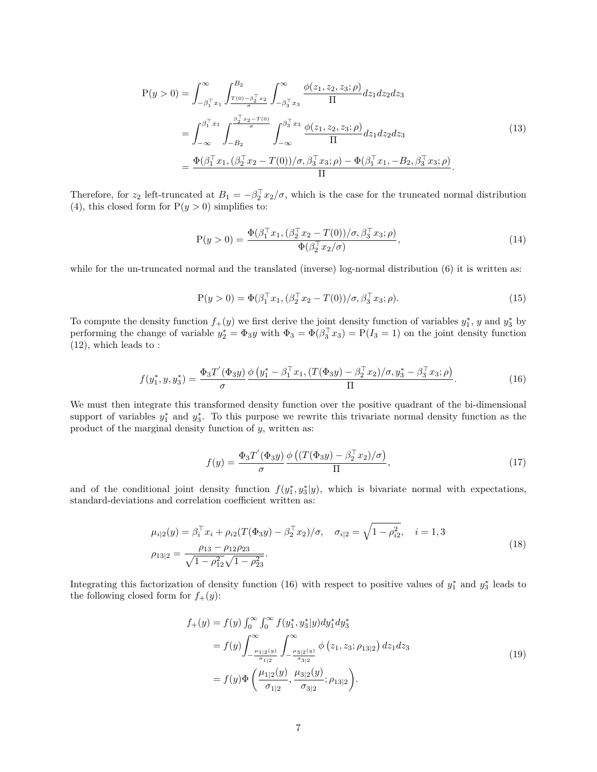<span id="page-6-0"></span>
$$
P(y > 0) = \int_{-\beta_1^T x_1}^{\infty} \int_{\frac{T(0) - \beta_2^T x_2}{\sigma}}^{\beta_2} \int_{-\beta_3^T x_3}^{\infty} \frac{\phi(z_1, z_2, z_3; \rho)}{\Pi} dz_1 dz_2 dz_3
$$
  

$$
= \int_{-\infty}^{\beta_1^T x_1} \int_{-B_2}^{\frac{\beta_2^T x_2 - T(0)}{\sigma}} \int_{-\infty}^{\beta_3^T x_3} \frac{\phi(z_1, z_2, z_3; \rho)}{\Pi} dz_1 dz_2 dz_3
$$
  

$$
= \frac{\Phi(\beta_1^T x_1, (\beta_2^T x_2 - T(0))/\sigma, \beta_3^T x_3; \rho) - \Phi(\beta_1^T x_1, -B_2, \beta_3^T x_3; \rho)}{\Pi}.
$$
 (13)

Therefore, for  $z_2$  left-truncated at  $B_1 = -\beta_2^T x_2/\sigma$ , which is the case for the truncated normal distribution [\(4\)](#page-3-1), this closed form for  $P(y > 0)$  simplifies to:

<span id="page-6-3"></span>
$$
P(y > 0) = \frac{\Phi(\beta_1^\top x_1, (\beta_2^\top x_2 - T(0))/\sigma, \beta_3^\top x_3; \rho)}{\Phi(\beta_2^\top x_2/\sigma)},
$$
\n(14)

while for the un-truncated normal and the translated (inverse) log-normal distribution [\(6\)](#page-4-4) it is written as:

<span id="page-6-4"></span>
$$
P(y > 0) = \Phi(\beta_1^{\top} x_1, (\beta_2^{\top} x_2 - T(0))/\sigma, \beta_3^{\top} x_3; \rho).
$$
 (15)

To compute the density function  $f_+(y)$  we first derive the joint density function of variables  $y_1^*$ ,  $y$  and  $y_3^*$  by performing the change of variable  $y_2^* = \Phi_3 y$  with  $\Phi_3 = \Phi(\beta_3^\top x_3) = P(I_3 = 1)$  on the joint density function [\(12\)](#page-5-3), which leads to :

<span id="page-6-1"></span>
$$
f(y_1^*, y, y_3^*) = \frac{\Phi_3 T^{'}(\Phi_3 y)}{\sigma} \frac{\phi(y_1^* - \beta_1^{\top} x_1, (T(\Phi_3 y) - \beta_2^{\top} x_2) / \sigma, y_3^* - \beta_3^{\top} x_3; \rho)}{\Pi}.
$$
 (16)

We must then integrate this transformed density function over the positive quadrant of the bi-dimensional support of variables  $y_1^*$  and  $y_3^*$ . To this purpose we rewrite this trivariate normal density function as the product of the marginal density function of *y*, written as:

$$
f(y) = \frac{\Phi_3 T^{'}(\Phi_3 y)}{\sigma} \frac{\phi\left((T(\Phi_3 y) - \beta_2^{\top} x_2)/\sigma\right)}{\Pi},\tag{17}
$$

and of the conditional joint density function  $f(y_1^*, y_3^*|y)$ , which is bivariate normal with expectations, standard-deviations and correlation coefficient written as:

$$
\mu_{i|2}(y) = \beta_i^{\top} x_i + \rho_{i2}(T(\Phi_3 y) - \beta_2^{\top} x_2) / \sigma, \quad \sigma_{i|2} = \sqrt{1 - \rho_{i2}^2}, \quad i = 1, 3
$$
  

$$
\rho_{13|2} = \frac{\rho_{13} - \rho_{12}\rho_{23}}{\sqrt{1 - \rho_{12}^2}\sqrt{1 - \rho_{23}^2}}.
$$
 (18)

Integrating this factorization of density function [\(16\)](#page-6-1) with respect to positive values of  $y_1^*$  and  $y_3^*$  leads to the following closed form for  $f_+(y)$ :

<span id="page-6-2"></span>
$$
f_{+}(y) = f(y) \int_{0}^{\infty} \int_{0}^{\infty} f(y_{1}^{*}, y_{3}^{*}|y) dy_{1}^{*} dy_{3}^{*}
$$
  
\n
$$
= f(y) \int_{-\frac{\mu_{1|2}(y)}{\sigma_{1|2}}}^{\infty} \int_{-\frac{\mu_{3|2}(y)}{\sigma_{3|2}}}^{\infty} \phi(z_{1}, z_{3}; \rho_{13|2}) dz_{1} dz_{3}
$$
  
\n
$$
= f(y) \Phi\left(\frac{\mu_{1|2}(y)}{\sigma_{1|2}}, \frac{\mu_{3|2}(y)}{\sigma_{3|2}}; \rho_{13|2}\right).
$$
\n(19)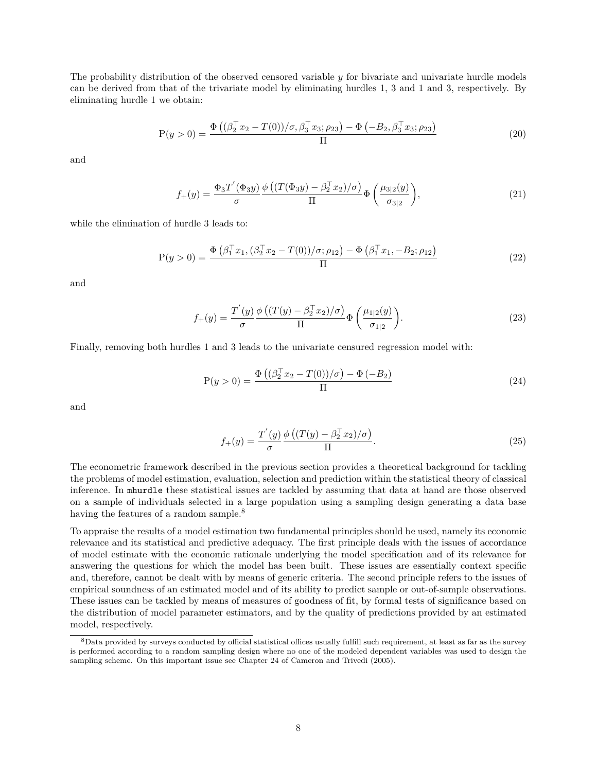The probability distribution of the observed censored variable *y* for bivariate and univariate hurdle models can be derived from that of the trivariate model by eliminating hurdles 1, 3 and 1 and 3, respectively. By eliminating hurdle 1 we obtain:

<span id="page-7-1"></span>
$$
P(y > 0) = \frac{\Phi\left((\beta_2^{\top} x_2 - T(0))/\sigma, \beta_3^{\top} x_3; \rho_{23}\right) - \Phi\left(-B_2, \beta_3^{\top} x_3; \rho_{23}\right)}{\Pi}
$$
(20)

and

<span id="page-7-4"></span>
$$
f_{+}(y) = \frac{\Phi_3 T^{'}(\Phi_3 y)}{\sigma} \frac{\phi\left((T(\Phi_3 y) - \beta_2^{\top} x_2)/\sigma\right)}{\Pi} \Phi\left(\frac{\mu_{3|2}(y)}{\sigma_{3|2}}\right),\tag{21}
$$

while the elimination of hurdle 3 leads to:

<span id="page-7-2"></span>
$$
P(y > 0) = \frac{\Phi(\beta_1^T x_1, (\beta_2^T x_2 - T(0))/\sigma; \rho_{12}) - \Phi(\beta_1^T x_1, -B_2; \rho_{12})}{\Pi}
$$
(22)

and

<span id="page-7-5"></span>
$$
f_{+}(y) = \frac{T'(y)}{\sigma} \frac{\phi\left((T(y) - \beta_2^{\top} x_2)/\sigma\right)}{\Pi} \Phi\left(\frac{\mu_{1|2}(y)}{\sigma_{1|2}}\right). \tag{23}
$$

Finally, removing both hurdles 1 and 3 leads to the univariate censured regression model with:

<span id="page-7-3"></span>
$$
P(y > 0) = \frac{\Phi\left((\beta_2^{\top} x_2 - T(0))/\sigma\right) - \Phi(-B_2)}{\Pi}
$$
\n(24)

and

<span id="page-7-6"></span>
$$
f_{+}(y) = \frac{T'(y)}{\sigma} \frac{\phi\left((T(y) - \beta_2^{\top} x_2)/\sigma\right)}{\Pi}.
$$
\n(25)

The econometric framework described in the previous section provides a theoretical background for tackling the problems of model estimation, evaluation, selection and prediction within the statistical theory of classical inference. In mhurdle these statistical issues are tackled by assuming that data at hand are those observed on a sample of individuals selected in a large population using a sampling design generating a data base having the features of a random sample.<sup>[8](#page-7-0)</sup>

To appraise the results of a model estimation two fundamental principles should be used, namely its economic relevance and its statistical and predictive adequacy. The first principle deals with the issues of accordance of model estimate with the economic rationale underlying the model specification and of its relevance for answering the questions for which the model has been built. These issues are essentially context specific and, therefore, cannot be dealt with by means of generic criteria. The second principle refers to the issues of empirical soundness of an estimated model and of its ability to predict sample or out-of-sample observations. These issues can be tackled by means of measures of goodness of fit, by formal tests of significance based on the distribution of model parameter estimators, and by the quality of predictions provided by an estimated model, respectively.

<span id="page-7-0"></span><sup>8</sup>Data provided by surveys conducted by official statistical offices usually fulfill such requirement, at least as far as the survey is performed according to a random sampling design where no one of the modeled dependent variables was used to design the sampling scheme. On this important issue see Chapter 24 of Cameron and Trivedi (2005).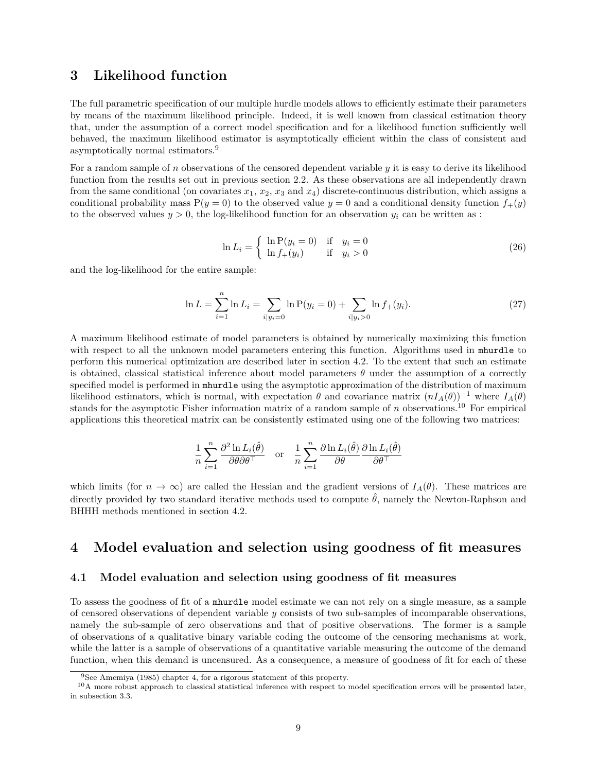### <span id="page-8-0"></span>**3 Likelihood function**

The full parametric specification of our multiple hurdle models allows to efficiently estimate their parameters by means of the maximum likelihood principle. Indeed, it is well known from classical estimation theory that, under the assumption of a correct model specification and for a likelihood function sufficiently well behaved, the maximum likelihood estimator is asymptotically efficient within the class of consistent and asymptotically normal estimators.[9](#page-8-3)

For a random sample of *n* observations of the censored dependent variable *y* it is easy to derive its likelihood function from the results set out in previous section 2.2. As these observations are all independently drawn from the same conditional (on covariates  $x_1, x_2, x_3$  and  $x_4$ ) discrete-continuous distribution, which assigns a conditional probability mass  $P(y = 0)$  to the observed value  $y = 0$  and a conditional density function  $f_+(y)$ to the observed values  $y > 0$ , the log-likelihood function for an observation  $y_i$  can be written as :

$$
\ln L_i = \begin{cases} \ln \mathcal{P}(y_i = 0) & \text{if } y_i = 0\\ \ln f_+(y_i) & \text{if } y_i > 0 \end{cases}
$$
 (26)

and the log-likelihood for the entire sample:

$$
\ln L = \sum_{i=1}^{n} \ln L_i = \sum_{i|y_i=0} \ln P(y_i=0) + \sum_{i|y_i>0} \ln f_+(y_i).
$$
 (27)

A maximum likelihood estimate of model parameters is obtained by numerically maximizing this function with respect to all the unknown model parameters entering this function. Algorithms used in mhurdle to perform this numerical optimization are described later in section 4.2. To the extent that such an estimate is obtained, classical statistical inference about model parameters *θ* under the assumption of a correctly specified model is performed in mhurdle using the asymptotic approximation of the distribution of maximum likelihood estimators, which is normal, with expectation  $\theta$  and covariance matrix  $(nI_A(\theta))^{-1}$  where  $I_A(\theta)$ stands for the asymptotic Fisher information matrix of a random sample of *n* observations.[10](#page-8-4) For empirical applications this theoretical matrix can be consistently estimated using one of the following two matrices:

$$
\frac{1}{n}\sum_{i=1}^n \frac{\partial^2 \ln L_i(\hat{\theta})}{\partial \theta \partial \theta^\top} \quad \text{or} \quad \frac{1}{n}\sum_{i=1}^n \frac{\partial \ln L_i(\hat{\theta})}{\partial \theta} \frac{\partial \ln L_i(\hat{\theta})}{\partial \theta^\top}
$$

which limits (for  $n \to \infty$ ) are called the Hessian and the gradient versions of  $I_A(\theta)$ . These matrices are directly provided by two standard iterative methods used to compute  $\hat{\theta}$ , namely the Newton-Raphson and BHHH methods mentioned in section 4.2.

### <span id="page-8-1"></span>**4 Model evaluation and selection using goodness of fit measures**

#### <span id="page-8-2"></span>**4.1 Model evaluation and selection using goodness of fit measures**

To assess the goodness of fit of a mhurdle model estimate we can not rely on a single measure, as a sample of censored observations of dependent variable *y* consists of two sub-samples of incomparable observations, namely the sub-sample of zero observations and that of positive observations. The former is a sample of observations of a qualitative binary variable coding the outcome of the censoring mechanisms at work, while the latter is a sample of observations of a quantitative variable measuring the outcome of the demand function, when this demand is uncensured. As a consequence, a measure of goodness of fit for each of these

<span id="page-8-4"></span><span id="page-8-3"></span><sup>9</sup>See Amemiya (1985) chapter 4, for a rigorous statement of this property.

<sup>&</sup>lt;sup>10</sup>A more robust approach to classical statistical inference with respect to model specification errors will be presented later, in subsection 3.3.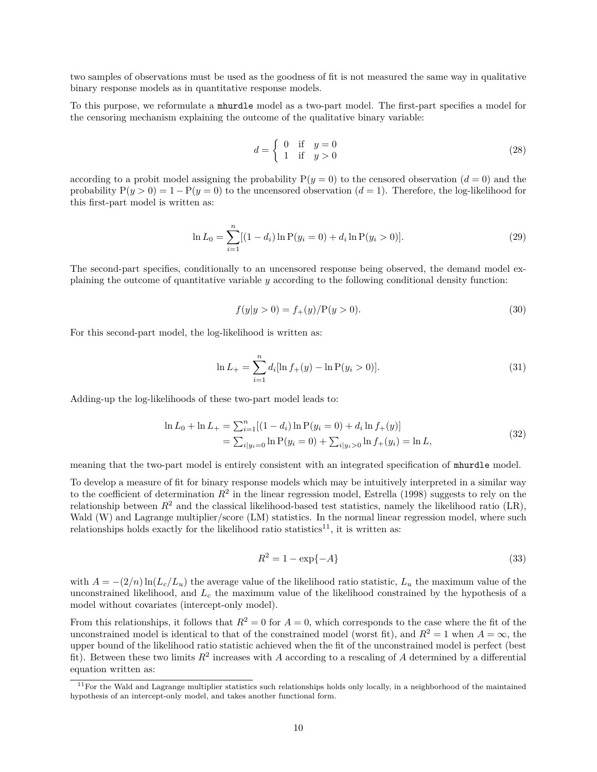two samples of observations must be used as the goodness of fit is not measured the same way in qualitative binary response models as in quantitative response models.

To this purpose, we reformulate a mhurdle model as a two-part model. The first-part specifies a model for the censoring mechanism explaining the outcome of the qualitative binary variable:

<span id="page-9-2"></span>
$$
d = \begin{cases} 0 & \text{if } y = 0 \\ 1 & \text{if } y > 0 \end{cases}
$$
 (28)

according to a probit model assigning the probability  $P(y = 0)$  to the censored observation  $(d = 0)$  and the probability  $P(y > 0) = 1 - P(y = 0)$  to the uncensored observation  $(d = 1)$ . Therefore, the log-likelihood for this first-part model is written as:

$$
\ln L_0 = \sum_{i=1}^{n} [(1 - d_i) \ln P(y_i = 0) + d_i \ln P(y_i > 0)].
$$
\n(29)

The second-part specifies, conditionally to an uncensored response being observed, the demand model explaining the outcome of quantitative variable *y* according to the following conditional density function:

<span id="page-9-3"></span>
$$
f(y|y>0) = f_{+}(y)/P(y>0).
$$
\n(30)

For this second-part model, the log-likelihood is written as:

$$
\ln L_{+} = \sum_{i=1}^{n} d_{i} [\ln f_{+}(y) - \ln P(y_{i} > 0)].
$$
\n(31)

Adding-up the log-likelihoods of these two-part model leads to:

$$
\ln L_0 + \ln L_+ = \sum_{i=1}^n [(1 - d_i) \ln P(y_i = 0) + d_i \ln f_+(y)]
$$
  
= 
$$
\sum_{i|y_i=0} \ln P(y_i = 0) + \sum_{i|y_i>0} \ln f_+(y_i) = \ln L,
$$
 (32)

meaning that the two-part model is entirely consistent with an integrated specification of mhurdle model.

To develop a measure of fit for binary response models which may be intuitively interpreted in a similar way to the coefficient of determination  $R^2$  in the linear regression model, Estrella (1998) suggests to rely on the relationship between  $R^2$  and the classical likelihood-based test statistics, namely the likelihood ratio (LR), Wald (W) and Lagrange multiplier/score (LM) statistics. In the normal linear regression model, where such relationships holds exactly for the likelihood ratio statistics<sup>[11](#page-9-0)</sup>, it is written as:

<span id="page-9-1"></span>
$$
R^2 = 1 - \exp\{-A\} \tag{33}
$$

with  $A = -(2/n) \ln(L_c/L_u)$  the average value of the likelihood ratio statistic,  $L_u$  the maximum value of the unconstrained likelihood, and *L<sup>c</sup>* the maximum value of the likelihood constrained by the hypothesis of a model without covariates (intercept-only model).

From this relationships, it follows that  $R^2 = 0$  for  $A = 0$ , which corresponds to the case where the fit of the unconstrained model is identical to that of the constrained model (worst fit), and  $R^2 = 1$  when  $A = \infty$ , the upper bound of the likelihood ratio statistic achieved when the fit of the unconstrained model is perfect (best fit). Between these two limits  $R^2$  increases with *A* according to a rescaling of *A* determined by a differential equation written as:

<span id="page-9-0"></span> $11$  For the Wald and Lagrange multiplier statistics such relationships holds only locally, in a neighborhood of the maintained hypothesis of an intercept-only model, and takes another functional form.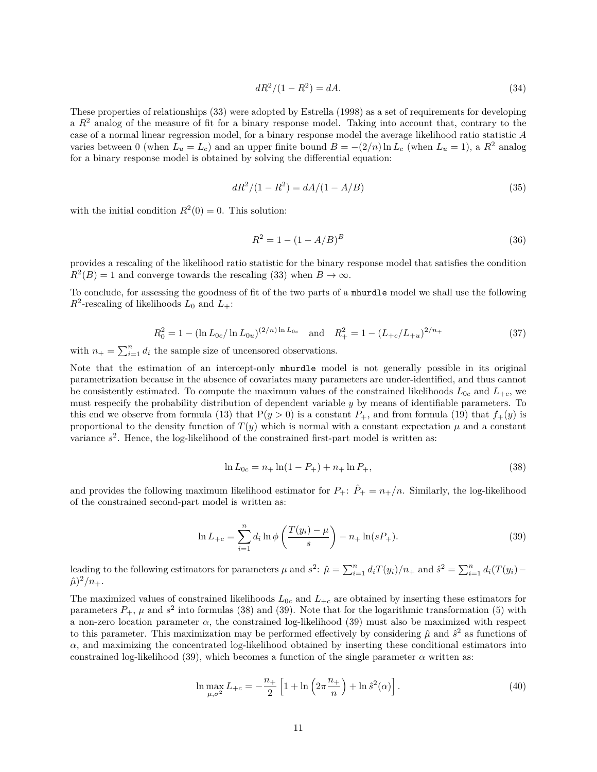$$
dR^2/(1 - R^2) = dA.
$$
\n(34)

These properties of relationships [\(33\)](#page-9-1) were adopted by Estrella (1998) as a set of requirements for developing a *R*<sup>2</sup> analog of the measure of fit for a binary response model. Taking into account that, contrary to the case of a normal linear regression model, for a binary response model the average likelihood ratio statistic *A* varies between 0 (when  $L_u = L_c$ ) and an upper finite bound  $B = -(2/n) \ln L_c$  (when  $L_u = 1$ ), a  $R^2$  analog for a binary response model is obtained by solving the differential equation:

$$
dR^2/(1 - R^2) = dA/(1 - A/B)
$$
\n(35)

with the initial condition  $R^2(0) = 0$ . This solution:

$$
R^2 = 1 - (1 - A/B)^B \tag{36}
$$

provides a rescaling of the likelihood ratio statistic for the binary response model that satisfies the condition  $R^2(B) = 1$  and converge towards the rescaling [\(33\)](#page-9-1) when  $B \to \infty$ .

To conclude, for assessing the goodness of fit of the two parts of a mhurdle model we shall use the following  $R^2$ -rescaling of likelihoods  $L_0$  and  $L_+$ :

<span id="page-10-2"></span>
$$
R_0^2 = 1 - (\ln L_{0c}/\ln L_{0u})^{(2/n)\ln L_{0c}} \quad \text{and} \quad R_+^2 = 1 - (L_{+c}/L_{+u})^{2/n} \tag{37}
$$

with  $n_+ = \sum_{i=1}^n d_i$  the sample size of uncensored observations.

Note that the estimation of an intercept-only mhurdle model is not generally possible in its original parametrization because in the absence of covariates many parameters are under-identified, and thus cannot be consistently estimated. To compute the maximum values of the constrained likelihoods  $L_{0c}$  and  $L_{+c}$ , we must respecify the probability distribution of dependent variable *y* by means of identifiable parameters. To this end we observe from formula [\(13\)](#page-6-0) that  $P(y > 0)$  is a constant  $P_+$ , and from formula [\(19\)](#page-6-2) that  $f_+(y)$  is proportional to the density function of  $T(y)$  which is normal with a constant expectation  $\mu$  and a constant variance  $s^2$ . Hence, the log-likelihood of the constrained first-part model is written as:

<span id="page-10-0"></span>
$$
\ln L_{0c} = n_+ \ln(1 - P_+) + n_+ \ln P_+, \tag{38}
$$

and provides the following maximum likelihood estimator for  $P_+$ :  $\hat{P}_+ = n_+/n$ . Similarly, the log-likelihood of the constrained second-part model is written as:

<span id="page-10-1"></span>
$$
\ln L_{+c} = \sum_{i=1}^{n} d_i \ln \phi \left( \frac{T(y_i) - \mu}{s} \right) - n_+ \ln(sP_+). \tag{39}
$$

leading to the following estimators for parameters  $\mu$  and  $s^2$ :  $\hat{\mu} = \sum_{i=1}^n d_i T(y_i) / n_+$  and  $\hat{s}^2 = \sum_{i=1}^n d_i (T(y_i) (\hat{\mu})^2/n_+$ .

The maximized values of constrained likelihoods  $L_{0c}$  and  $L_{+c}$  are obtained by inserting these estimators for parameters  $P_+$ ,  $\mu$  and  $s^2$  into formulas [\(38\)](#page-10-0) and [\(39\)](#page-10-1). Note that for the logarithmic transformation [\(5\)](#page-4-1) with a non-zero location parameter  $\alpha$ , the constrained log-likelihood [\(39\)](#page-10-1) must also be maximized with respect to this parameter. This maximization may be performed effectively by considering  $\hat{\mu}$  and  $\hat{s}^2$  as functions of  $\alpha$ , and maximizing the concentrated log-likelihood obtained by inserting these conditional estimators into constrained log-likelihood [\(39\)](#page-10-1), which becomes a function of the single parameter  $\alpha$  written as:

$$
\ln \max_{\mu, \sigma^2} L_{+c} = -\frac{n_+}{2} \left[ 1 + \ln \left( 2\pi \frac{n_+}{n} \right) + \ln \hat{s}^2(\alpha) \right]. \tag{40}
$$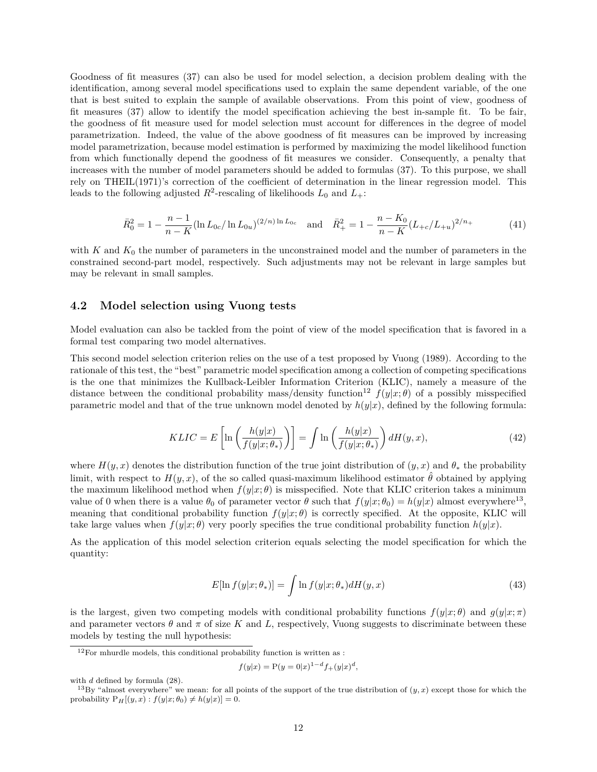Goodness of fit measures [\(37\)](#page-10-2) can also be used for model selection, a decision problem dealing with the identification, among several model specifications used to explain the same dependent variable, of the one that is best suited to explain the sample of available observations. From this point of view, goodness of fit measures [\(37\)](#page-10-2) allow to identify the model specification achieving the best in-sample fit. To be fair, the goodness of fit measure used for model selection must account for differences in the degree of model parametrization. Indeed, the value of the above goodness of fit measures can be improved by increasing model parametrization, because model estimation is performed by maximizing the model likelihood function from which functionally depend the goodness of fit measures we consider. Consequently, a penalty that increases with the number of model parameters should be added to formulas [\(37\)](#page-10-2). To this purpose, we shall rely on THEIL(1971)'s correction of the coefficient of determination in the linear regression model. This leads to the following adjusted  $R^2$ -rescaling of likelihoods  $L_0$  and  $L_+$ :

$$
\bar{R}_0^2 = 1 - \frac{n-1}{n-K} (\ln L_{0c} / \ln L_{0u})^{(2/n)\ln L_{0c}} \quad \text{and} \quad \bar{R}_+^2 = 1 - \frac{n-K_0}{n-K} (L_{+c}/L_{+u})^{2/n_+}
$$
(41)

with *K* and  $K_0$  the number of parameters in the unconstrained model and the number of parameters in the constrained second-part model, respectively. Such adjustments may not be relevant in large samples but may be relevant in small samples.

#### <span id="page-11-0"></span>**4.2 Model selection using Vuong tests**

Model evaluation can also be tackled from the point of view of the model specification that is favored in a formal test comparing two model alternatives.

This second model selection criterion relies on the use of a test proposed by Vuong (1989). According to the rationale of this test, the "best" parametric model specification among a collection of competing specifications is the one that minimizes the Kullback-Leibler Information Criterion (KLIC), namely a measure of the distance between the conditional probability mass/density function<sup>[12](#page-11-1)</sup>  $f(y|x;\theta)$  of a possibly misspecified parametric model and that of the true unknown model denoted by  $h(y|x)$ , defined by the following formula:

$$
KLIC = E\left[\ln\left(\frac{h(y|x)}{f(y|x;\theta_*)}\right)\right] = \int \ln\left(\frac{h(y|x)}{f(y|x;\theta_*)}\right) dH(y,x),\tag{42}
$$

where  $H(y, x)$  denotes the distribution function of the true joint distribution of  $(y, x)$  and  $\theta_*$  the probability limit, with respect to  $H(y, x)$ , of the so called quasi-maximum likelihood estimator  $\hat{\theta}$  obtained by applying the maximum likelihood method when  $f(y|x; \theta)$  is misspecified. Note that KLIC criterion takes a minimum value of 0 when there is a value  $\theta_0$  of parameter vector  $\theta$  such that  $f(y|x; \theta_0) = h(y|x)$  almost everywhere<sup>[13](#page-11-2)</sup>, meaning that conditional probability function  $f(y|x;\theta)$  is correctly specified. At the opposite, KLIC will take large values when  $f(y|x; \theta)$  very poorly specifies the true conditional probability function  $h(y|x)$ .

As the application of this model selection criterion equals selecting the model specification for which the quantity:

$$
E[\ln f(y|x; \theta_*)] = \int \ln f(y|x; \theta_*) dH(y, x)
$$
\n(43)

is the largest, given two competing models with conditional probability functions  $f(y|x;\theta)$  and  $g(y|x;\pi)$ and parameter vectors  $\theta$  and  $\pi$  of size K and L, respectively, Vuong suggests to discriminate between these models by testing the null hypothesis:

$$
f(y|x) = P(y=0|x)^{1-d} f_+(y|x)^d,
$$

<span id="page-11-1"></span> $12$ For mhurdle models, this conditional probability function is written as :

with *d* defined by formula [\(28\)](#page-9-2).

<span id="page-11-2"></span><sup>&</sup>lt;sup>13</sup>By "almost everywhere" we mean: for all points of the support of the true distribution of  $(y, x)$  except those for which the probability  $P_H[(y, x) : f(y|x; \theta_0) \neq h(y|x)] = 0.$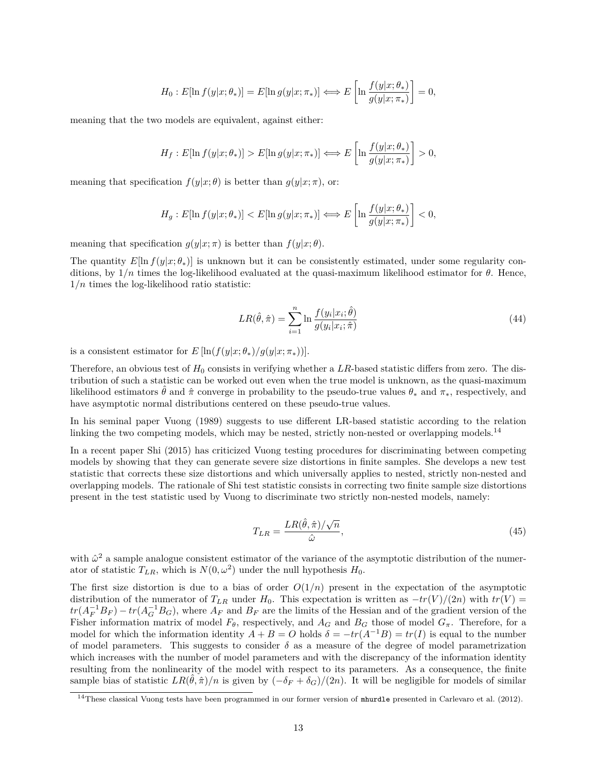$$
H_0: E[\ln f(y|x; \theta_*)] = E[\ln g(y|x; \pi_*)] \Longleftrightarrow E\left[\ln \frac{f(y|x; \theta_*)}{g(y|x; \pi_*)}\right] = 0,
$$

meaning that the two models are equivalent, against either:

$$
H_f: E[\ln f(y|x; \theta_*)] > E[\ln g(y|x; \pi_*)] \Longleftrightarrow E\left[\ln \frac{f(y|x; \theta_*)}{g(y|x; \pi_*)}\right] > 0,
$$

meaning that specification  $f(y|x; \theta)$  is better than  $g(y|x; \pi)$ , or:

$$
H_g: E[\ln f(y|x; \theta_*)] < E[\ln g(y|x; \pi_*)] \iff E\left[\ln \frac{f(y|x; \theta_*)}{g(y|x; \pi_*)}\right] < 0,
$$

meaning that specification  $g(y|x;\pi)$  is better than  $f(y|x;\theta)$ .

The quantity  $E[\ln f(y|x; \theta_*)]$  is unknown but it can be consistently estimated, under some regularity conditions, by  $1/n$  times the log-likelihood evaluated at the quasi-maximum likelihood estimator for  $\theta$ . Hence, 1*/n* times the log-likelihood ratio statistic:

$$
LR(\hat{\theta}, \hat{\pi}) = \sum_{i=1}^{n} \ln \frac{f(y_i|x_i; \hat{\theta})}{g(y_i|x_i; \hat{\pi})}
$$
(44)

is a consistent estimator for  $E[\ln(f(y|x; \theta_*)/g(y|x; \pi_*))]$ .

Therefore, an obvious test of  $H_0$  consists in verifying whether a LR-based statistic differs from zero. The distribution of such a statistic can be worked out even when the true model is unknown, as the quasi-maximum likelihood estimators  $\hat{\theta}$  and  $\hat{\pi}$  converge in probability to the pseudo-true values  $\theta_*$  and  $\pi_*$ , respectively, and have asymptotic normal distributions centered on these pseudo-true values.

In his seminal paper Vuong (1989) suggests to use different LR-based statistic according to the relation linking the two competing models, which may be nested, strictly non-nested or overlapping models.<sup>[14](#page-12-0)</sup>

In a recent paper Shi (2015) has criticized Vuong testing procedures for discriminating between competing models by showing that they can generate severe size distortions in finite samples. She develops a new test statistic that corrects these size distortions and which universally applies to nested, strictly non-nested and overlapping models. The rationale of Shi test statistic consists in correcting two finite sample size distortions present in the test statistic used by Vuong to discriminate two strictly non-nested models, namely:

$$
T_{LR} = \frac{LR(\hat{\theta}, \hat{\pi})/\sqrt{n}}{\hat{\omega}},\tag{45}
$$

with  $\hat{\omega}^2$  a sample analogue consistent estimator of the variance of the asymptotic distribution of the numerator of statistic  $T_{LR}$ , which is  $N(0, \omega^2)$  under the null hypothesis  $H_0$ .

The first size distortion is due to a bias of order  $O(1/n)$  present in the expectation of the asymptotic distribution of the numerator of  $T_{LR}$  under  $H_0$ . This expectation is written as  $-tr(V)/(2n)$  with  $tr(V)$  =  $tr(A_F^{-1}B_F) - tr(A_G^{-1}B_G)$ , where  $A_F$  and  $B_F$  are the limits of the Hessian and of the gradient version of the Fisher information matrix of model  $F_{\theta}$ , respectively, and  $A_G$  and  $B_G$  those of model  $G_{\pi}$ . Therefore, for a model for which the information identity  $A + B = O$  holds  $\delta = -tr(A^{-1}B) = tr(I)$  is equal to the number of model parameters. This suggests to consider  $\delta$  as a measure of the degree of model parametrization which increases with the number of model parameters and with the discrepancy of the information identity resulting from the nonlinearity of the model with respect to its parameters. As a consequence, the finite sample bias of statistic  $LR(\hat{\theta}, \hat{\pi})/n$  is given by  $(-\delta_F + \delta_G)/(2n)$ . It will be negligible for models of similar

<span id="page-12-0"></span><sup>&</sup>lt;sup>14</sup>These classical Vuong tests have been programmed in our former version of mhurdle presented in Carlevaro et al. (2012).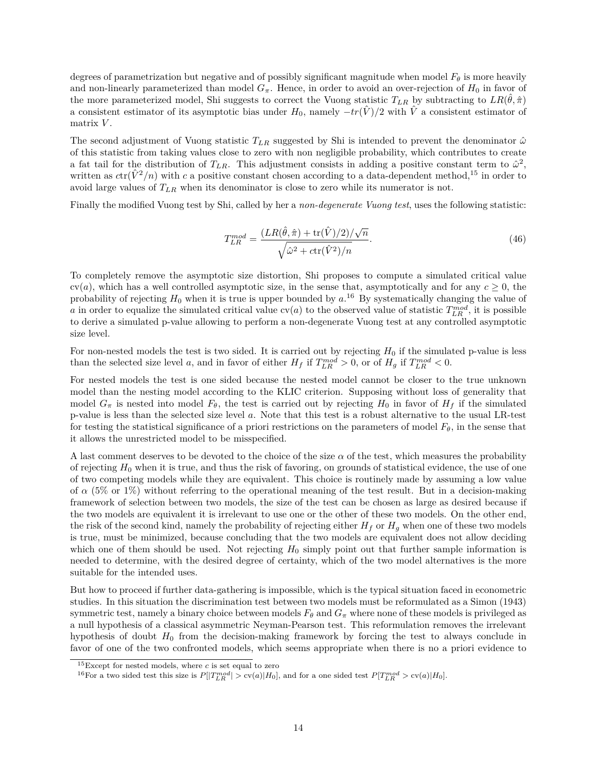degrees of parametrization but negative and of possibly significant magnitude when model  $F_{\theta}$  is more heavily and non-linearly parameterized than model  $G_{\pi}$ . Hence, in order to avoid an over-rejection of  $H_0$  in favor of the more parameterized model, Shi suggests to correct the Vuong statistic  $T_{LR}$  by subtracting to  $LR(\hat{\theta}, \hat{\pi})$ a consistent estimator of its asymptotic bias under  $H_0$ , namely  $-tr(\hat{V})/2$  with  $\hat{V}$  a consistent estimator of matrix *V* .

The second adjustment of Vuong statistic  $T_{LR}$  suggested by Shi is intended to prevent the denominator  $\hat{\omega}$ of this statistic from taking values close to zero with non negligible probability, which contributes to create a fat tail for the distribution of  $T_{LR}$ . This adjustment consists in adding a positive constant term to  $\hat{\omega}^2$ , written as  $ctr(\hat{V}^2/n)$  with *c* a positive constant chosen according to a data-dependent method,<sup>[15](#page-13-0)</sup> in order to avoid large values of *TLR* when its denominator is close to zero while its numerator is not.

Finally the modified Vuong test by Shi, called by her a *non-degenerate Vuong test*, uses the following statistic:

$$
T_{LR}^{mod} = \frac{(LR(\hat{\theta}, \hat{\pi}) + \text{tr}(\hat{V})/2)/\sqrt{n}}{\sqrt{\hat{\omega}^2 + \text{ctr}(\hat{V}^2)/n}}.
$$
\n(46)

To completely remove the asymptotic size distortion, Shi proposes to compute a simulated critical value  $cv(a)$ , which has a well controlled asymptotic size, in the sense that, asymptotically and for any  $c \ge 0$ , the probability of rejecting *H*<sup>0</sup> when it is true is upper bounded by *a*. [16](#page-13-1) By systematically changing the value of *a* in order to equalize the simulated critical value  $\text{cv}(a)$  to the observed value of statistic  $T_{LR}^{mod}$ , it is possible to derive a simulated p-value allowing to perform a non-degenerate Vuong test at any controlled asymptotic size level.

For non-nested models the test is two sided. It is carried out by rejecting *H*<sup>0</sup> if the simulated p-value is less than the selected size level *a*, and in favor of either  $H_f$  if  $T_{LR}^{mod} > 0$ , or of  $H_g$  if  $T_{LR}^{mod} < 0$ .

For nested models the test is one sided because the nested model cannot be closer to the true unknown model than the nesting model according to the KLIC criterion. Supposing without loss of generality that model  $G_{\pi}$  is nested into model  $F_{\theta}$ , the test is carried out by rejecting  $H_0$  in favor of  $H_f$  if the simulated p-value is less than the selected size level *a*. Note that this test is a robust alternative to the usual LR-test for testing the statistical significance of a priori restrictions on the parameters of model  $F_{\theta}$ , in the sense that it allows the unrestricted model to be misspecified.

A last comment deserves to be devoted to the choice of the size  $\alpha$  of the test, which measures the probability of rejecting *H*<sup>0</sup> when it is true, and thus the risk of favoring, on grounds of statistical evidence, the use of one of two competing models while they are equivalent. This choice is routinely made by assuming a low value of  $\alpha$  (5% or 1%) without referring to the operational meaning of the test result. But in a decision-making framework of selection between two models, the size of the test can be chosen as large as desired because if the two models are equivalent it is irrelevant to use one or the other of these two models. On the other end, the risk of the second kind, namely the probability of rejecting either  $H_f$  or  $H_g$  when one of these two models is true, must be minimized, because concluding that the two models are equivalent does not allow deciding which one of them should be used. Not rejecting  $H_0$  simply point out that further sample information is needed to determine, with the desired degree of certainty, which of the two model alternatives is the more suitable for the intended uses.

But how to proceed if further data-gathering is impossible, which is the typical situation faced in econometric studies. In this situation the discrimination test between two models must be reformulated as a Simon (1943) symmetric test, namely a binary choice between models  $F_{\theta}$  and  $G_{\pi}$  where none of these models is privileged as a null hypothesis of a classical asymmetric Neyman-Pearson test. This reformulation removes the irrelevant hypothesis of doubt  $H_0$  from the decision-making framework by forcing the test to always conclude in favor of one of the two confronted models, which seems appropriate when there is no a priori evidence to

<span id="page-13-0"></span><sup>15</sup>Except for nested models, where *c* is set equal to zero

<span id="page-13-1"></span><sup>&</sup>lt;sup>16</sup>For a two sided test this size is  $P[|T_{LR}^{mod}| > \text{cv}(a)|H_0]$ , and for a one sided test  $P[T_{LR}^{mod} > \text{cv}(a)|H_0]$ .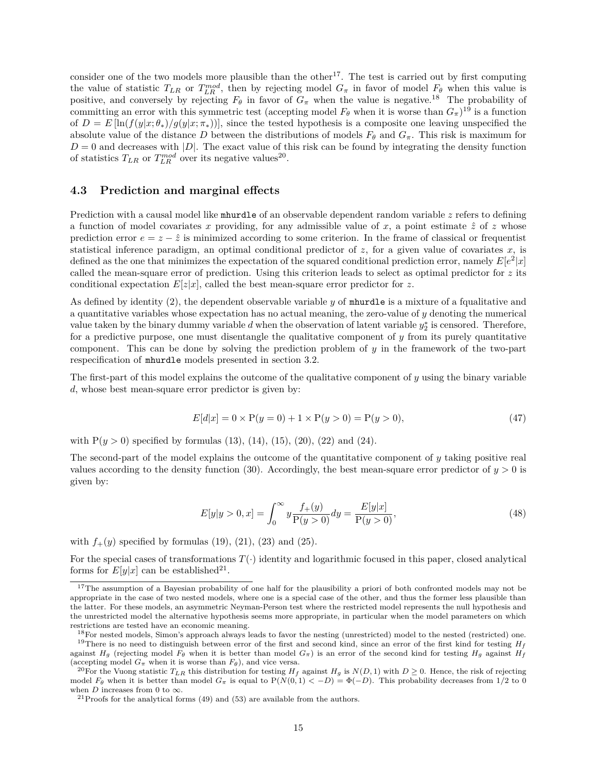consider one of the two models more plausible than the other<sup>[17](#page-14-1)</sup>. The test is carried out by first computing the value of statistic  $T_{LR}$  or  $T_{LR}^{mod}$ , then by rejecting model  $G_{\pi}$  in favor of model  $F_{\theta}$  when this value is positive, and conversely by rejecting  $F_{\theta}$  in favor of  $G_{\pi}$  when the value is negative.<sup>[18](#page-14-2)</sup> The probability of committing an error with this symmetric test (accepting model  $F_{\theta}$  when it is worse than  $G_{\pi}$ )<sup>[19](#page-14-3)</sup> is a function of  $D = E[\ln(f(y|x; \theta_*)/g(y|x; \pi_*))]$ , since the tested hypothesis is a composite one leaving unspecified the absolute value of the distance *D* between the distributions of models  $F_{\theta}$  and  $G_{\pi}$ . This risk is maximum for  $D = 0$  and decreases with  $|D|$ . The exact value of this risk can be found by integrating the density function of statistics  $T_{LR}$  or  $T_{LR}^{mod}$  over its negative values<sup>[20](#page-14-4)</sup>.

#### <span id="page-14-0"></span>**4.3 Prediction and marginal effects**

Prediction with a causal model like mhurdle of an observable dependent random variable z refers to defining a function of model covariates x providing, for any admissible value of x, a point estimate  $\hat{z}$  of z whose prediction error  $e = z - \hat{z}$  is minimized according to some criterion. In the frame of classical or frequentist statistical inference paradigm, an optimal conditional predictor of  $z$ , for a given value of covariates  $x$ , is defined as the one that minimizes the expectation of the squared conditional prediction error, namely  $E[e^2|x]$ called the mean-square error of prediction. Using this criterion leads to select as optimal predictor for *z* its conditional expectation  $E[z|x]$ , called the best mean-square error predictor for z.

As defined by identity [\(2\)](#page-3-3), the dependent observable variable *y* of mhurdle is a mixture of a fqualitative and a quantitative variables whose expectation has no actual meaning, the zero-value of *y* denoting the numerical value taken by the binary dummy variable  $d$  when the observation of latent variable  $y_2^*$  is censored. Therefore, for a predictive purpose, one must disentangle the qualitative component of *y* from its purely quantitative component. This can be done by solving the prediction problem of *y* in the framework of the two-part respecification of mhurdle models presented in section 3.2.

The first-part of this model explains the outcome of the qualitative component of *y* using the binary variable *d*, whose best mean-square error predictor is given by:

<span id="page-14-6"></span>
$$
E[d|x] = 0 \times P(y=0) + 1 \times P(y>0) = P(y>0),
$$
\n(47)

with  $P(y > 0)$  specified by formulas [\(13\)](#page-6-0), [\(14\)](#page-6-3), [\(15\)](#page-6-4), [\(20\)](#page-7-1), [\(22\)](#page-7-2) and [\(24\)](#page-7-3).

The second-part of the model explains the outcome of the quantitative component of *y* taking positive real values according to the density function [\(30\)](#page-9-3). Accordingly, the best mean-square error predictor of  $y > 0$  is given by:

<span id="page-14-7"></span>
$$
E[y|y > 0, x] = \int_0^\infty y \frac{f_+(y)}{P(y > 0)} dy = \frac{E[y|x]}{P(y > 0)},
$$
\n(48)

with  $f_{+}(y)$  specified by formulas [\(19\)](#page-6-2), [\(21\)](#page-7-4), [\(23\)](#page-7-5) and [\(25\)](#page-7-6).

For the special cases of transformations  $T(\cdot)$  identity and logarithmic focused in this paper, closed analytical forms for  $E[y|x]$  can be established<sup>[21](#page-14-5)</sup>.

<span id="page-14-1"></span><sup>&</sup>lt;sup>17</sup>The assumption of a Bayesian probability of one half for the plausibility a priori of both confronted models may not be appropriate in the case of two nested models, where one is a special case of the other, and thus the former less plausible than the latter. For these models, an asymmetric Neyman-Person test where the restricted model represents the null hypothesis and the unrestricted model the alternative hypothesis seems more appropriate, in particular when the model parameters on which restrictions are tested have an economic meaning.

<span id="page-14-3"></span><span id="page-14-2"></span><sup>&</sup>lt;sup>18</sup>For nested models, Simon's approach always leads to favor the nesting (unrestricted) model to the nested (restricted) one. <sup>19</sup>There is no need to distinguish between error of the first and second kind, since an error of the first kind for testing  $H_f$ against  $H_g$  (rejecting model  $F_\theta$  when it is better than model  $G_\pi$ ) is an error of the second kind for testing  $H_g$  against  $H_f$ (accepting model  $G_{\pi}$  when it is worse than  $F_{\theta}$ ), and vice versa.

<span id="page-14-4"></span><sup>&</sup>lt;sup>20</sup>For the Vuong statistic  $T_{LR}$  this distribution for testing  $H_f$  against  $H_q$  is  $N(D,1)$  with  $D \ge 0$ . Hence, the risk of rejecting model  $F_{\theta}$  when it is better than model  $G_{\pi}$  is equal to  $P(N(0,1) < -D) = \Phi(-D)$ . This probability decreases from 1/2 to 0 when *D* increases from 0 to  $\infty$ .

<span id="page-14-5"></span> $^{21}\mathrm{Proofs}$  for the analytical forms [\(49\)](#page-15-0) and [\(53\)](#page-15-1) are available from the authors.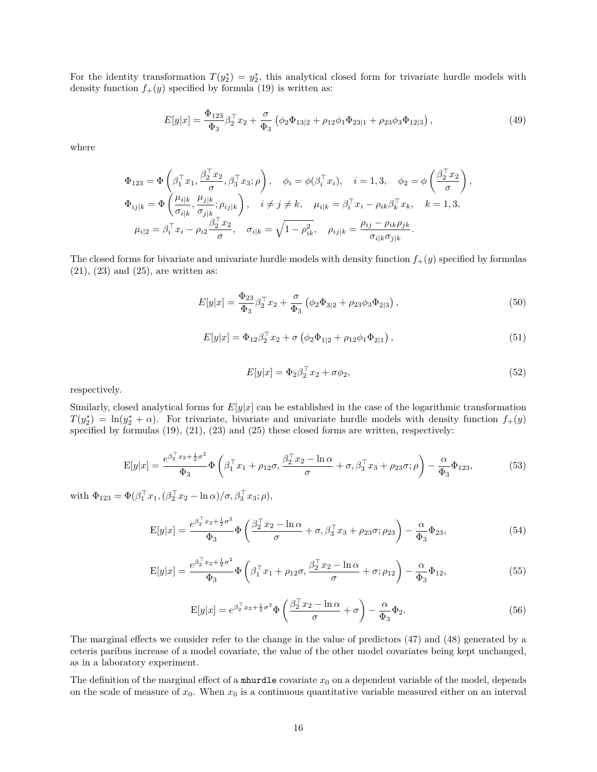For the identity transformation  $T(y_2^*) = y_2^*$ , this analytical closed form for trivariate hurdle models with density function  $f_+(y)$  specified by formula [\(19\)](#page-6-2) is written as:

<span id="page-15-0"></span>
$$
E[y|x] = \frac{\Phi_{123}}{\Phi_3} \beta_2^\top x_2 + \frac{\sigma}{\Phi_3} \left( \phi_2 \Phi_{13|2} + \rho_{12} \phi_1 \Phi_{23|1} + \rho_{23} \phi_3 \Phi_{12|3} \right),\tag{49}
$$

where

$$
\Phi_{123} = \Phi\left(\beta_1^\top x_1, \frac{\beta_2^\top x_2}{\sigma}, \beta_3^\top x_3; \rho\right), \quad \phi_i = \phi(\beta_i^\top x_i), \quad i = 1, 3, \quad \phi_2 = \phi\left(\frac{\beta_2^\top x_2}{\sigma}\right),
$$
  

$$
\Phi_{ij|k} = \Phi\left(\frac{\mu_{i|k}}{\sigma_{i|k}}, \frac{\mu_{j|k}}{\sigma_{j|k}}; \rho_{ij|k}\right), \quad i \neq j \neq k, \quad \mu_{i|k} = \beta_i^\top x_i - \rho_{ik}\beta_k^\top x_k, \quad k = 1, 3,
$$
  

$$
\mu_{i|2} = \beta_i^\top x_i - \rho_{i2}\frac{\beta_2^\top x_2}{\sigma}, \quad \sigma_{i|k} = \sqrt{1 - \rho_{ik}^2}, \quad \rho_{ij|k} = \frac{\rho_{ij} - \rho_{ik}\rho_{jk}}{\sigma_{i|k}\sigma_{j|k}}.
$$

The closed forms for bivariate and univariate hurdle models with density function *f*+(*y*) specified by formulas  $(21), (23)$  $(21), (23)$  $(21), (23)$  and  $(25),$  are written as:

$$
E[y|x] = \frac{\Phi_{23}}{\Phi_3} \beta_2^{\top} x_2 + \frac{\sigma}{\Phi_3} (\phi_2 \Phi_{3|2} + \rho_{23} \phi_3 \Phi_{2|3}), \qquad (50)
$$

$$
E[y|x] = \Phi_{12}\beta_2^{\top}x_2 + \sigma\left(\phi_2\Phi_{1|2} + \rho_{12}\phi_1\Phi_{2|1}\right),\tag{51}
$$

$$
E[y|x] = \Phi_2 \beta_2^\top x_2 + \sigma \phi_2,\tag{52}
$$

respectively.

Similarly, closed analytical forms for  $E[y|x]$  can be established in the case of the logarithmic transformation  $T(y_2^*) = \ln(y_2^* + \alpha)$ . For trivariate, bivariate and univariate hurdle models with density function  $f_+(y)$ specified by formulas  $(19)$ ,  $(21)$ ,  $(23)$  and  $(25)$  these closed forms are written, respectively:

<span id="page-15-1"></span>
$$
E[y|x] = \frac{e^{\beta_2^{\top} x_2 + \frac{1}{2}\sigma^2}}{\Phi_3} \Phi\left(\beta_1^{\top} x_1 + \rho_{12}\sigma, \frac{\beta_2^{\top} x_2 - \ln \alpha}{\sigma} + \sigma, \beta_3^{\top} x_3 + \rho_{23}\sigma; \rho\right) - \frac{\alpha}{\Phi_3} \Phi_{123},
$$
(53)

with  $\Phi_{123} = \Phi(\beta_1^\top x_1, (\beta_2^\top x_2 - \ln \alpha)/\sigma, \beta_3^\top x_3; \rho),$ 

$$
E[y|x] = \frac{e^{\beta_2^{\top} x_2 + \frac{1}{2}\sigma^2}}{\Phi_3} \Phi\left(\frac{\beta_2^{\top} x_2 - \ln \alpha}{\sigma} + \sigma, \beta_3^{\top} x_3 + \rho_{23} \sigma; \rho_{23}\right) - \frac{\alpha}{\Phi_3} \Phi_{23},\tag{54}
$$

$$
E[y|x] = \frac{e^{\beta_2^T x_2 + \frac{1}{2}\sigma^2}}{\Phi_3} \Phi\left(\beta_1^T x_1 + \rho_{12}\sigma, \frac{\beta_2^T x_2 - \ln \alpha}{\sigma} + \sigma; \rho_{12}\right) - \frac{\alpha}{\Phi_3} \Phi_{12},\tag{55}
$$

$$
E[y|x] = e^{\beta_2^{\top} x_2 + \frac{1}{2}\sigma^2} \Phi\left(\frac{\beta_2^{\top} x_2 - \ln \alpha}{\sigma} + \sigma\right) - \frac{\alpha}{\Phi_3} \Phi_2.
$$
 (56)

The marginal effects we consider refer to the change in the value of predictors [\(47\)](#page-14-6) and [\(48\)](#page-14-7) generated by a ceteris paribus increase of a model covariate, the value of the other model covariates being kept unchanged, as in a laboratory experiment.

The definition of the marginal effect of a mhurdle covariate  $x_0$  on a dependent variable of the model, depends on the scale of measure of  $x_0$ . When  $x_0$  is a continuous quantitative variable measured either on an interval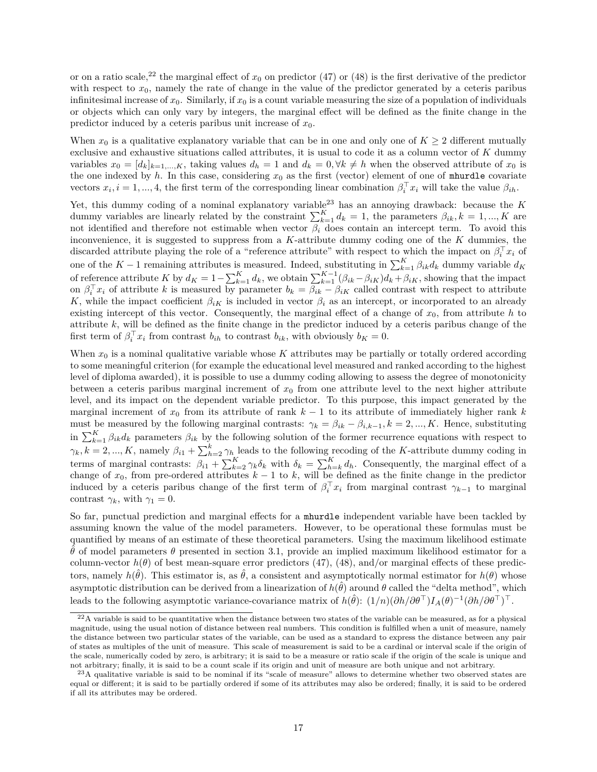or on a ratio scale,<sup>[22](#page-16-0)</sup> the marginal effect of  $x_0$  on predictor [\(47\)](#page-14-6) or [\(48\)](#page-14-7) is the first derivative of the predictor with respect to  $x_0$ , namely the rate of change in the value of the predictor generated by a ceteris paribus infinitesimal increase of  $x_0$ . Similarly, if  $x_0$  is a count variable measuring the size of a population of individuals or objects which can only vary by integers, the marginal effect will be defined as the finite change in the predictor induced by a ceteris paribus unit increase of  $x_0$ .

When  $x_0$  is a qualitative explanatory variable that can be in one and only one of  $K \geq 2$  different mutually exclusive and exhaustive situations called attributes, it is usual to code it as a column vector of *K* dummy variables  $x_0 = [d_k]_{k=1,\dots,K}$ , taking values  $d_h = 1$  and  $d_k = 0, \forall k \neq h$  when the observed attribute of  $x_0$  is the one indexed by  $h$ . In this case, considering  $x_0$  as the first (vector) element of one of mhurdle covariate vectors  $x_i$ ,  $i = 1, ..., 4$ , the first term of the corresponding linear combination  $\beta_i^{\top} x_i$  will take the value  $\beta_{ih}$ .

Yet, this dummy coding of a nominal explanatory variable[23](#page-16-1) has an annoying drawback: because the *K* dummy variables are linearly related by the constraint  $\sum_{k=1}^{K} d_k = 1$ , the parameters  $\beta_{ik}, k = 1, ..., K$  are not identified and therefore not estimable when vector *β<sup>i</sup>* does contain an intercept term. To avoid this inconvenience, it is suggested to suppress from a *K*-attribute dummy coding one of the *K* dummies, the discarded attribute playing the role of a "reference attribute" with respect to which the impact on  $\beta_i^{\top} x_i$  of one of the  $K-1$  remaining attributes is measured. Indeed, substituting in  $\sum_{k=1}^{K} \beta_{ik} d_k$  dummy variable  $d_K$ of reference attribute K by  $d_K = 1 - \sum_{k=1}^K d_k$ , we obtain  $\sum_{k=1}^{K-1} (\beta_{ik} - \beta_{iK}) d_k + \beta_{iK}$ , showing that the impact on  $\beta_i^{\top} x_i$  of attribute *k* is measured by parameter  $b_k = \beta_{ik} - \beta_{iK}$  called contrast with respect to attribute *K*, while the impact coefficient  $\beta_{iK}$  is included in vector  $\beta_i$  as an intercept, or incorporated to an already existing intercept of this vector. Consequently, the marginal effect of a change of  $x<sub>0</sub>$ , from attribute *h* to attribute *k*, will be defined as the finite change in the predictor induced by a ceteris paribus change of the first term of  $\beta_i^T x_i$  from contrast  $b_{ih}$  to contrast  $b_{ik}$ , with obviously  $b_K = 0$ .

When  $x_0$  is a nominal qualitative variable whose  $K$  attributes may be partially or totally ordered according to some meaningful criterion (for example the educational level measured and ranked according to the highest level of diploma awarded), it is possible to use a dummy coding allowing to assess the degree of monotonicity between a ceteris paribus marginal increment of  $x<sub>0</sub>$  from one attribute level to the next higher attribute level, and its impact on the dependent variable predictor. To this purpose, this impact generated by the marginal increment of  $x_0$  from its attribute of rank  $k-1$  to its attribute of immediately higher rank  $k$ must be measured by the following marginal contrasts:  $\gamma_k = \beta_{ik} - \beta_{i,k-1}, k = 2, ..., K$ . Hence, substituting in  $\sum_{k=1}^{K} \beta_{ik} d_k$  parameters  $\beta_{ik}$  by the following solution of the former recurrence equations with respect to  $\gamma_k, k = 2, ..., K$ , namely  $\beta_{i1} + \sum_{h=2}^k \gamma_h$  leads to the following recoding of the *K*-attribute dummy coding in terms of marginal contrasts:  $\beta_{i1} + \sum_{k=2}^{K} \gamma_k \delta_k$  with  $\delta_k = \sum_{h=k}^{K} d_h$ . Consequently, the marginal effect of a change of  $x_0$ , from pre-ordered attributes  $k-1$  to  $k$ , will be defined as the finite change in the predictor induced by a ceteris paribus change of the first term of  $\beta_i^{\top} x_i$  from marginal contrast  $\gamma_{k-1}$  to marginal contrast  $\gamma_k$ , with  $\gamma_1 = 0$ .

So far, punctual prediction and marginal effects for a mhurdle independent variable have been tackled by assuming known the value of the model parameters. However, to be operational these formulas must be quantified by means of an estimate of these theoretical parameters. Using the maximum likelihood estimate  $\hat{\theta}$  of model parameters  $\theta$  presented in section 3.1, provide an implied maximum likelihood estimator for a column-vector  $h(\theta)$  of best mean-square error predictors [\(47\)](#page-14-6), [\(48\)](#page-14-7), and/or marginal effects of these predictors, namely  $h(\hat{\theta})$ . This estimator is, as  $\hat{\theta}$ , a consistent and asymptotically normal estimator for  $h(\theta)$  whose asymptotic distribution can be derived from a linearization of  $h(\hat{\theta})$  around  $\theta$  called the "delta method", which leads to the following asymptotic variance-covariance matrix of  $h(\hat{\theta})$ :  $(1/n)(\partial h/\partial \theta^{\top})I_A(\theta)^{-1}(\partial h/\partial \theta^{\top})^{\top}$ .

<span id="page-16-0"></span> $^{22}$ A variable is said to be quantitative when the distance between two states of the variable can be measured, as for a physical magnitude, using the usual notion of distance between real numbers. This condition is fulfilled when a unit of measure, namely the distance between two particular states of the variable, can be used as a standard to express the distance between any pair of states as multiples of the unit of measure. This scale of measurement is said to be a cardinal or interval scale if the origin of the scale, numerically coded by zero, is arbitrary; it is said to be a measure or ratio scale if the origin of the scale is unique and not arbitrary; finally, it is said to be a count scale if its origin and unit of measure are both unique and not arbitrary.

<span id="page-16-1"></span> $^{23}$ A qualitative variable is said to be nominal if its "scale of measure" allows to determine whether two observed states are equal or different; it is said to be partially ordered if some of its attributes may also be ordered; finally, it is said to be ordered if all its attributes may be ordered.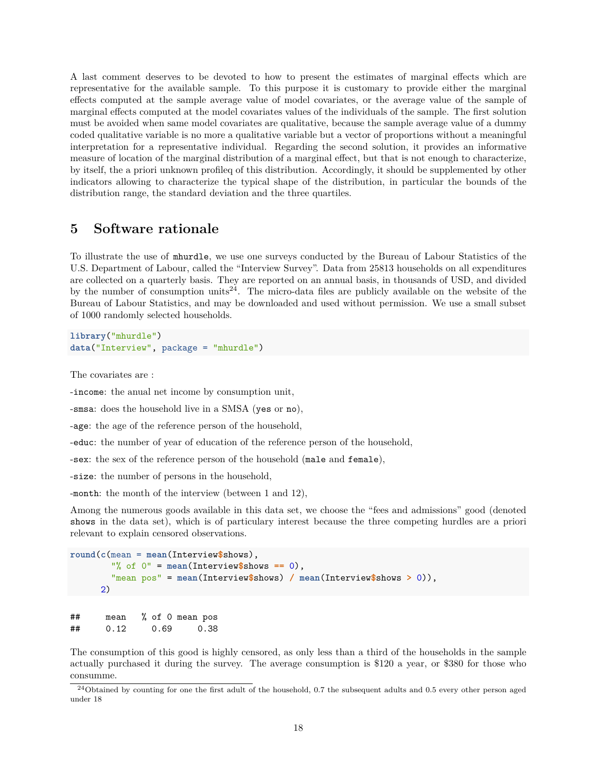A last comment deserves to be devoted to how to present the estimates of marginal effects which are representative for the available sample. To this purpose it is customary to provide either the marginal effects computed at the sample average value of model covariates, or the average value of the sample of marginal effects computed at the model covariates values of the individuals of the sample. The first solution must be avoided when same model covariates are qualitative, because the sample average value of a dummy coded qualitative variable is no more a qualitative variable but a vector of proportions without a meaningful interpretation for a representative individual. Regarding the second solution, it provides an informative measure of location of the marginal distribution of a marginal effect, but that is not enough to characterize, by itself, the a priori unknown profileq of this distribution. Accordingly, it should be supplemented by other indicators allowing to characterize the typical shape of the distribution, in particular the bounds of the distribution range, the standard deviation and the three quartiles.

#### <span id="page-17-0"></span>**5 Software rationale**

To illustrate the use of mhurdle, we use one surveys conducted by the Bureau of Labour Statistics of the U.S. Department of Labour, called the "Interview Survey". Data from 25813 households on all expenditures are collected on a quarterly basis. They are reported on an annual basis, in thousands of USD, and divided by the number of consumption units<sup>[24](#page-17-1)</sup>. The micro-data files are publicly available on the website of the Bureau of Labour Statistics, and may be downloaded and used without permission. We use a small subset of 1000 randomly selected households.

**library**("mhurdle") **data**("Interview", package = "mhurdle")

The covariates are :

-income: the anual net income by consumption unit,

-smsa: does the household live in a SMSA (yes or no),

-age: the age of the reference person of the household,

-educ: the number of year of education of the reference person of the household,

-sex: the sex of the reference person of the household (male and female),

-size: the number of persons in the household,

-month: the month of the interview (between 1 and 12),

Among the numerous goods available in this data set, we choose the "fees and admissions" good (denoted shows in the data set), which is of particulary interest because the three competing hurdles are a priori relevant to explain censored observations.

```
round(c(mean = mean(Interview$shows),
        "% of 0" = mean(Interview$shows == 0),
        "mean pos" = mean(Interview$shows) / mean(Interview$shows > 0)),
      2)
```
## mean % of 0 mean pos ## 0.12 0.69 0.38

The consumption of this good is highly censored, as only less than a third of the households in the sample actually purchased it during the survey. The average consumption is \$120 a year, or \$380 for those who consumme.

<span id="page-17-1"></span> $^{24}$ Obtained by counting for one the first adult of the household, 0.7 the subsequent adults and 0.5 every other person aged under 18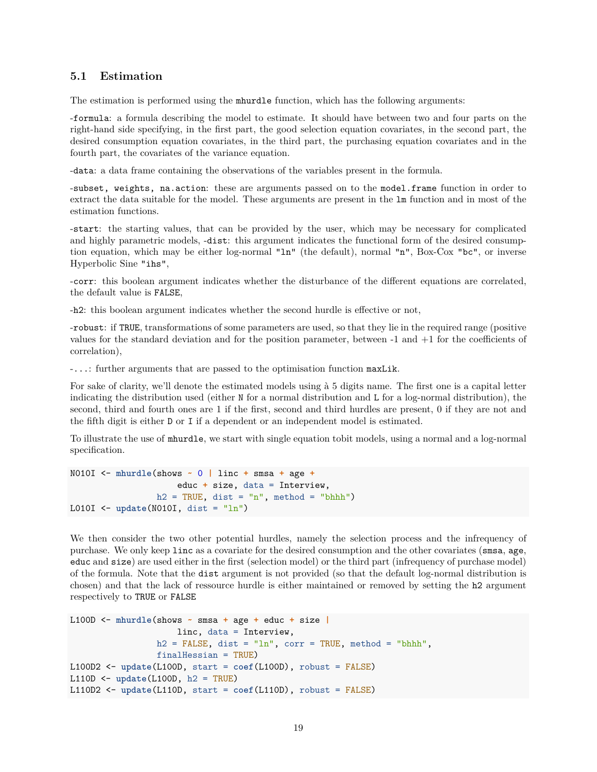#### <span id="page-18-0"></span>**5.1 Estimation**

The estimation is performed using the mhurdle function, which has the following arguments:

-formula: a formula describing the model to estimate. It should have between two and four parts on the right-hand side specifying, in the first part, the good selection equation covariates, in the second part, the desired consumption equation covariates, in the third part, the purchasing equation covariates and in the fourth part, the covariates of the variance equation.

-data: a data frame containing the observations of the variables present in the formula.

-subset, weights, na.action: these are arguments passed on to the model.frame function in order to extract the data suitable for the model. These arguments are present in the lm function and in most of the estimation functions.

-start: the starting values, that can be provided by the user, which may be necessary for complicated and highly parametric models, -dist: this argument indicates the functional form of the desired consumption equation, which may be either log-normal "ln" (the default), normal "n", Box-Cox "bc", or inverse Hyperbolic Sine "ihs",

-corr: this boolean argument indicates whether the disturbance of the different equations are correlated, the default value is FALSE,

-h2: this boolean argument indicates whether the second hurdle is effective or not,

-robust: if TRUE, transformations of some parameters are used, so that they lie in the required range (positive values for the standard deviation and for the position parameter, between -1 and +1 for the coefficients of correlation),

-...: further arguments that are passed to the optimisation function maxLik.

For sake of clarity, we'll denote the estimated models using à 5 digits name. The first one is a capital letter indicating the distribution used (either N for a normal distribution and L for a log-normal distribution), the second, third and fourth ones are 1 if the first, second and third hurdles are present, 0 if they are not and the fifth digit is either D or I if a dependent or an independent model is estimated.

To illustrate the use of mhurdle, we start with single equation tobit models, using a normal and a log-normal specification.

```
N010I <- mhurdle(shows ~ 0 | linc + smsa + age +
                     educ + size, data = Interview,
                 h2 = TRUE, dist = "n", method = "bhhh")L010I <- update(N010I, dist = "ln")
```
We then consider the two other potential hurdles, namely the selection process and the infrequency of purchase. We only keep linc as a covariate for the desired consumption and the other covariates (smsa, age, educ and size) are used either in the first (selection model) or the third part (infrequency of purchase model) of the formula. Note that the dist argument is not provided (so that the default log-normal distribution is chosen) and that the lack of ressource hurdle is either maintained or removed by setting the h2 argument respectively to TRUE or FALSE

```
L100D <- mhurdle(shows ~ smsa + age + educ + size |
                     linc, data = Interview,
                 h2 = FALSE, dist = "ln", corr = TRUE, method = "bhhh",
                 finalHessian = TRUE)
L100D2 <- update(L100D, start = coef(L100D), robust = FALSE)
L110D <- update(L100D, h2 = TRUE)
L110D2 <- update(L110D, start = coef(L110D), robust = FALSE)
```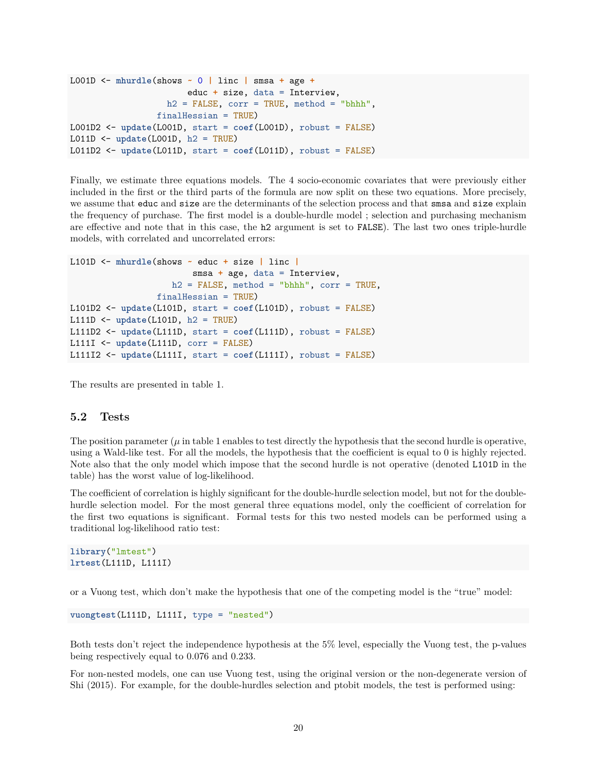```
L001D <- mhurdle(shows ~ 0 | linc | smsa + age +
                       educ + size, data = Interview,
                   h2 = FALSE, corr = TRUE, method = "bhhh",
                 finalHessian = TRUE)
L001D2 <- update(L001D, start = coef(L001D), robust = FALSE)
L011D <- update(L001D, h2 = TRUE)
L011D2 <- update(L011D, start = coef(L011D), robust = FALSE)
```
Finally, we estimate three equations models. The 4 socio-economic covariates that were previously either included in the first or the third parts of the formula are now split on these two equations. More precisely, we assume that educ and size are the determinants of the selection process and that smsa and size explain the frequency of purchase. The first model is a double-hurdle model ; selection and purchasing mechanism are effective and note that in this case, the h2 argument is set to FALSE). The last two ones triple-hurdle models, with correlated and uncorrelated errors:

```
L101D <- mhurdle(shows ~ educ + size | linc |
                        smsa + age, data = Interview,
                    h2 = FALSE, method = "bhhh", corr = TRUE,
                 finalHessian = TRUE)
L101D2 <- update(L101D, start = coef(L101D), robust = FALSE)
L111D <- update(L101D, h2 = TRUE)
L111D2 <- update(L111D, start = coef(L111D), robust = FALSE)
L111I <- update(L111D, corr = FALSE)
L111I2 <- update(L111I, start = coef(L111I), robust = FALSE)
```
The results are presented in table [1.](#page-20-0)

#### <span id="page-19-0"></span>**5.2 Tests**

The position parameter  $(\mu)$  in table [1](#page-20-0) enables to test directly the hypothesis that the second hurdle is operative, using a Wald-like test. For all the models, the hypothesis that the coefficient is equal to 0 is highly rejected. Note also that the only model which impose that the second hurdle is not operative (denoted L101D in the table) has the worst value of log-likelihood.

The coefficient of correlation is highly significant for the double-hurdle selection model, but not for the doublehurdle selection model. For the most general three equations model, only the coefficient of correlation for the first two equations is significant. Formal tests for this two nested models can be performed using a traditional log-likelihood ratio test:

```
library("lmtest")
lrtest(L111D, L111I)
```
or a Vuong test, which don't make the hypothesis that one of the competing model is the "true" model:

```
vuongtest(L111D, L111I, type = "nested")
```
Both tests don't reject the independence hypothesis at the 5% level, especially the Vuong test, the p-values being respectively equal to 0.076 and 0.233.

For non-nested models, one can use Vuong test, using the original version or the non-degenerate version of Shi (2015). For example, for the double-hurdles selection and ptobit models, the test is performed using: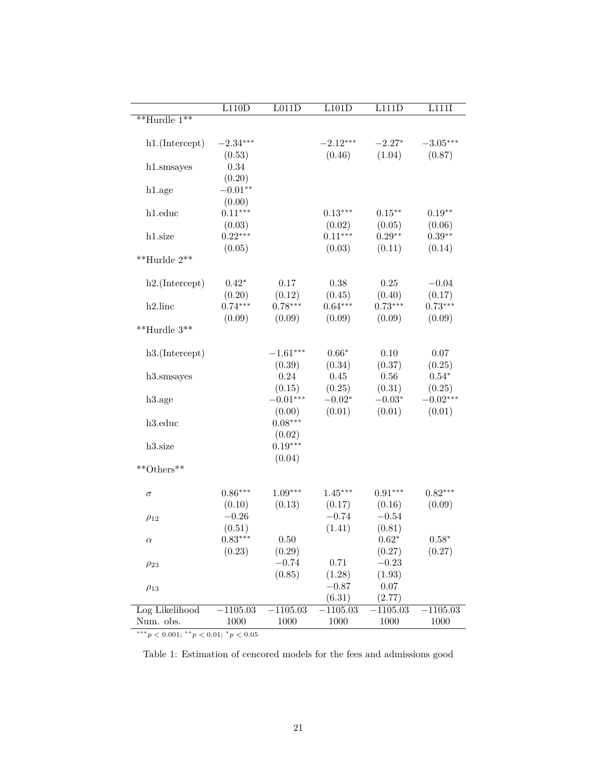|                                | L110D      | L011D      | L101D      | L111D      | L111I      |
|--------------------------------|------------|------------|------------|------------|------------|
| $*$ <sup>**</sup> Hurdle $1**$ |            |            |            |            |            |
| h1.(Intercept)                 | $-2.34***$ |            | $-2.12***$ | $-2.27*$   | $-3.05***$ |
|                                | (0.53)     |            | (0.46)     | (1.04)     | (0.87)     |
| h1.smsayes                     | 0.34       |            |            |            |            |
|                                | (0.20)     |            |            |            |            |
| h1.age                         | $-0.01**$  |            |            |            |            |
|                                | (0.00)     |            |            |            |            |
| h1.educ                        | $0.11***$  |            | $0.13***$  | $0.15***$  | $0.19**$   |
|                                | (0.03)     |            | (0.02)     | (0.05)     | (0.06)     |
| h1.size                        | $0.22***$  |            | $0.11***$  | $0.29**$   | $0.39**$   |
|                                | (0.05)     |            | (0.03)     | (0.11)     | (0.14)     |
| $^{**}$ Hurlde $2^{**}$        |            |            |            |            |            |
| h2.(Intercept)                 | $0.42*$    | 0.17       | 0.38       | 0.25       | $-0.04$    |
|                                | (0.20)     | (0.12)     | (0.45)     | (0.40)     | (0.17)     |
| $h2$ .linc                     | $0.74***$  | $0.78***$  | $0.64***$  | $0.73***$  | $0.73***$  |
|                                | (0.09)     | (0.09)     | (0.09)     | (0.09)     | (0.09)     |
| $*$ *Hurdle 3**                |            |            |            |            |            |
| h3.(Intercept)                 |            | $-1.61***$ | $0.66*$    | 0.10       | 0.07       |
|                                |            | (0.39)     | (0.34)     | (0.37)     | (0.25)     |
| h3.smsayes                     |            | 0.24       | 0.45       | 0.56       | $0.54*$    |
|                                |            | (0.15)     | (0.25)     | (0.31)     | (0.25)     |
| h3.age                         |            | $-0.01***$ | $-0.02*$   | $-0.03*$   | $-0.02***$ |
|                                |            | (0.00)     | (0.01)     | (0.01)     | (0.01)     |
| h3.educ                        |            | $0.08***$  |            |            |            |
|                                |            | (0.02)     |            |            |            |
| h3.size                        |            | $0.19***$  |            |            |            |
| **Others**                     |            | (0.04)     |            |            |            |
|                                |            |            |            |            |            |
| $\sigma$                       | $0.86***$  | $1.09***$  | $1.45***$  | $0.91***$  | $0.82***$  |
|                                | (0.10)     | (0.13)     | (0.17)     | (0.16)     | (0.09)     |
| $\rho_{12}$                    | $-0.26$    |            | $-0.74$    | $-0.54$    |            |
|                                | (0.51)     |            | (1.41)     | (0.81)     |            |
| $^{\alpha}$                    | $0.83***$  | 0.50       |            | $0.62*$    | $0.58*$    |
|                                | (0.23)     | (0.29)     |            | (0.27)     | (0.27)     |
| $\rho_{23}$                    |            | $-0.74$    | 0.71       | $-0.23$    |            |
|                                |            | (0.85)     | (1.28)     | (1.93)     |            |
| $\rho_{13}$                    |            |            | $-0.87$    | 0.07       |            |
|                                |            |            | (6.31)     | (2.77)     |            |
| Log Likelihood                 | $-1105.03$ | $-1105.03$ | 1105.03    | $-1105.03$ | $-1105.03$ |
| Num. obs.                      | 1000       | 1000       | 1000       | 1000       | 1000       |

∗∗∗*p <* 0*.*001; ∗∗*p <* 0*.*01; <sup>∗</sup>*p <* 0*.*05

<span id="page-20-0"></span>Table 1: Estimation of cencored models for the fees and admissions good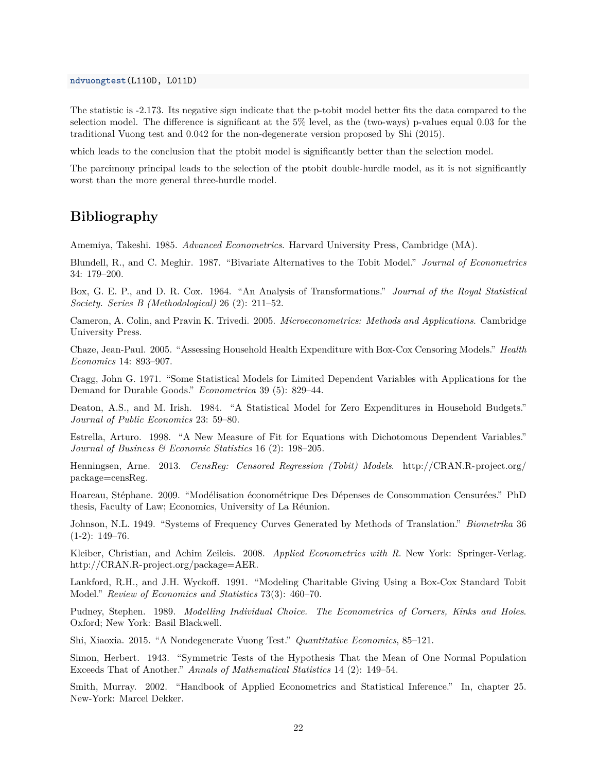The statistic is -2.173. Its negative sign indicate that the p-tobit model better fits the data compared to the selection model. The difference is significant at the 5% level, as the (two-ways) p-values equal 0.03 for the traditional Vuong test and 0.042 for the non-degenerate version proposed by Shi (2015).

which leads to the conclusion that the ptobit model is significantly better than the selection model.

The parcimony principal leads to the selection of the ptobit double-hurdle model, as it is not significantly worst than the more general three-hurdle model.

## <span id="page-21-0"></span>**Bibliography**

Amemiya, Takeshi. 1985. *Advanced Econometrics*. Harvard University Press, Cambridge (MA).

Blundell, R., and C. Meghir. 1987. "Bivariate Alternatives to the Tobit Model." *Journal of Econometrics* 34: 179–200.

Box, G. E. P., and D. R. Cox. 1964. "An Analysis of Transformations." *Journal of the Royal Statistical Society. Series B (Methodological)* 26 (2): 211–52.

Cameron, A. Colin, and Pravin K. Trivedi. 2005. *Microeconometrics: Methods and Applications*. Cambridge University Press.

Chaze, Jean-Paul. 2005. "Assessing Household Health Expenditure with Box-Cox Censoring Models." *Health Economics* 14: 893–907.

Cragg, John G. 1971. "Some Statistical Models for Limited Dependent Variables with Applications for the Demand for Durable Goods." *Econometrica* 39 (5): 829–44.

Deaton, A.S., and M. Irish. 1984. "A Statistical Model for Zero Expenditures in Household Budgets." *Journal of Public Economics* 23: 59–80.

Estrella, Arturo. 1998. "A New Measure of Fit for Equations with Dichotomous Dependent Variables." *Journal of Business & Economic Statistics* 16 (2): 198–205.

Henningsen, Arne. 2013. *CensReg: Censored Regression (Tobit) Models*. [http://CRAN.R-project.org/](http://CRAN.R-project.org/package=censReg) [package=censReg.](http://CRAN.R-project.org/package=censReg)

Hoareau, Stéphane. 2009. "Modélisation économétrique Des Dépenses de Consommation Censurées." PhD thesis, Faculty of Law; Economics, University of La Réunion.

Johnson, N.L. 1949. "Systems of Frequency Curves Generated by Methods of Translation." *Biometrika* 36 (1-2): 149–76.

Kleiber, Christian, and Achim Zeileis. 2008. *Applied Econometrics with R*. New York: Springer-Verlag. [http://CRAN.R-project.org/package=AER.](http://CRAN.R-project.org/package=AER)

Lankford, R.H., and J.H. Wyckoff. 1991. "Modeling Charitable Giving Using a Box-Cox Standard Tobit Model." *Review of Economics and Statistics* 73(3): 460–70.

Pudney, Stephen. 1989. *Modelling Individual Choice. The Econometrics of Corners, Kinks and Holes*. Oxford; New York: Basil Blackwell.

Shi, Xiaoxia. 2015. "A Nondegenerate Vuong Test." *Quantitative Economics*, 85–121.

Simon, Herbert. 1943. "Symmetric Tests of the Hypothesis That the Mean of One Normal Population Exceeds That of Another." *Annals of Mathematical Statistics* 14 (2): 149–54.

Smith, Murray. 2002. "Handbook of Applied Econometrics and Statistical Inference." In, chapter 25. New-York: Marcel Dekker.